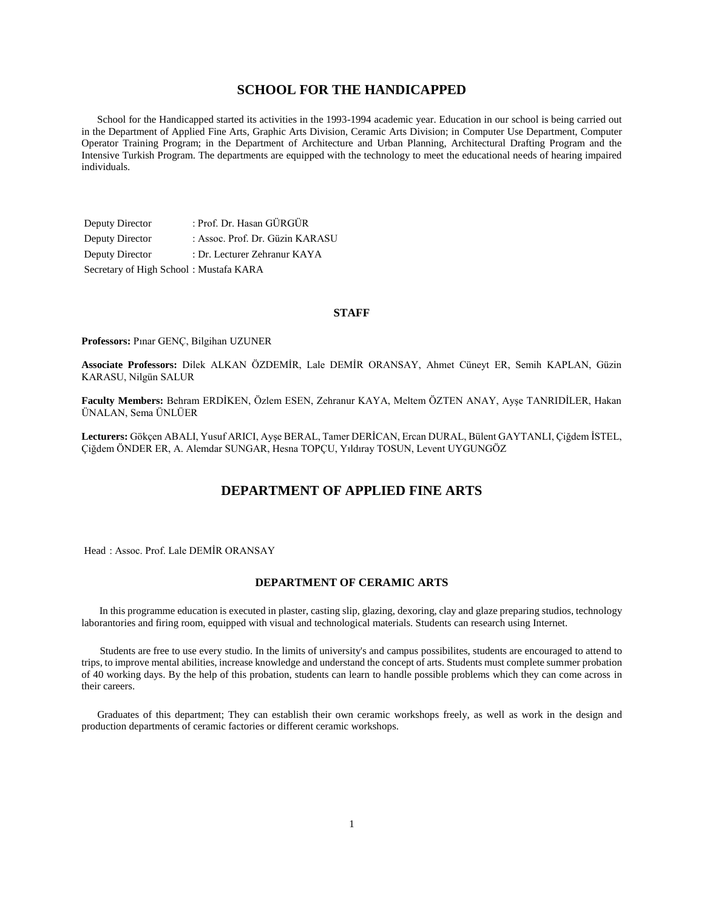# **SCHOOL FOR THE HANDICAPPED**

 School for the Handicapped started its activities in the 1993-1994 academic year. Education in our school is being carried out in the Department of Applied Fine Arts, Graphic Arts Division, Ceramic Arts Division; in Computer Use Department, Computer Operator Training Program; in the Department of Architecture and Urban Planning, Architectural Drafting Program and the Intensive Turkish Program. The departments are equipped with the technology to meet the educational needs of hearing impaired individuals.

Deputy Director : Prof. Dr. Hasan GÜRGÜR Deputy Director : Assoc. Prof. Dr. Güzin KARASU Deputy Director : Dr. Lecturer Zehranur KAYA Secretary of High School : Mustafa KARA

#### **STAFF**

**Professors:** Pınar GENÇ, Bilgihan UZUNER

**Associate Professors:** Dilek ALKAN ÖZDEMİR, Lale DEMİR ORANSAY, Ahmet Cüneyt ER, Semih KAPLAN, Güzin KARASU, Nilgün SALUR

**Faculty Members:** Behram ERDİKEN, Özlem ESEN, Zehranur KAYA, Meltem ÖZTEN ANAY, Ayşe TANRIDİLER, Hakan ÜNALAN, Sema ÜNLÜER

**Lecturers:** Gökçen ABALI, Yusuf ARICI, Ayşe BERAL, Tamer DERİCAN, Ercan DURAL, Bülent GAYTANLI, Çiğdem İSTEL, Çiğdem ÖNDER ER, A. Alemdar SUNGAR, Hesna TOPÇU, Yıldıray TOSUN, Levent UYGUNGÖZ

# **DEPARTMENT OF APPLIED FINE ARTS**

Head : Assoc. Prof. Lale DEMİR ORANSAY

## **DEPARTMENT OF CERAMIC ARTS**

 In this programme education is executed in plaster, casting slip, glazing, dexoring, clay and glaze preparing studios, technology laborantories and firing room, equipped with visual and technological materials. Students can research using Internet.

 Students are free to use every studio. In the limits of university's and campus possibilites, students are encouraged to attend to trips, to improve mental abilities, increase knowledge and understand the concept of arts. Students must complete summer probation of 40 working days. By the help of this probation, students can learn to handle possible problems which they can come across in their careers.

 Graduates of this department; They can establish their own ceramic workshops freely, as well as work in the design and production departments of ceramic factories or different ceramic workshops.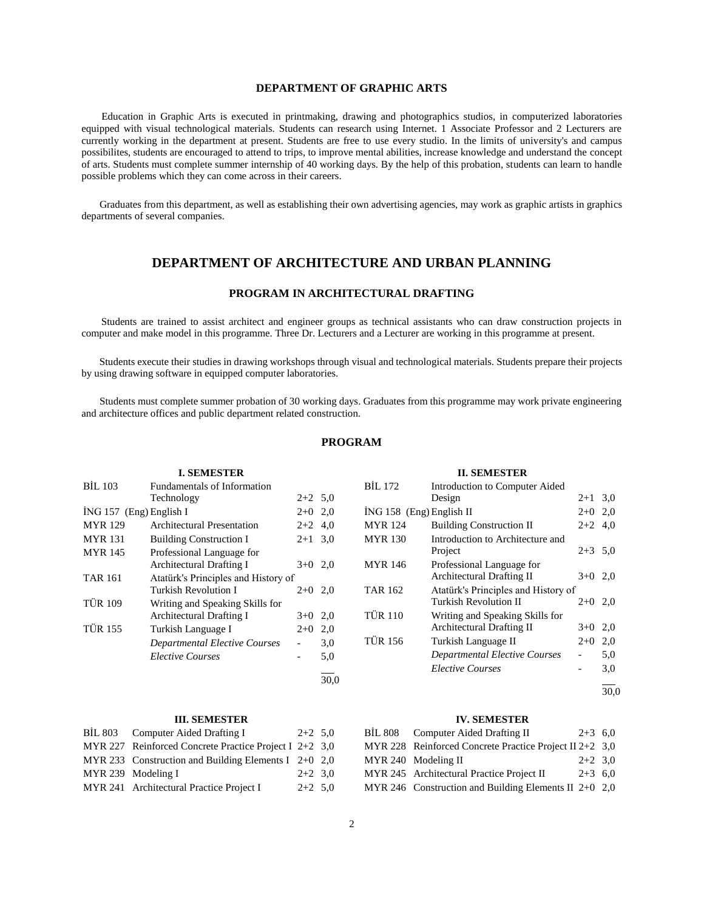# **DEPARTMENT OF GRAPHIC ARTS**

 Education in Graphic Arts is executed in printmaking, drawing and photographics studios, in computerized laboratories equipped with visual technological materials. Students can research using Internet. 1 Associate Professor and 2 Lecturers are currently working in the department at present. Students are free to use every studio. In the limits of university's and campus possibilites, students are encouraged to attend to trips, to improve mental abilities, increase knowledge and understand the concept of arts. Students must complete summer internship of 40 working days. By the help of this probation, students can learn to handle possible problems which they can come across in their careers.

 Graduates from this department, as well as establishing their own advertising agencies, may work as graphic artists in graphics departments of several companies.

# **DEPARTMENT OF ARCHITECTURE AND URBAN PLANNING**

# **PROGRAM IN ARCHITECTURAL DRAFTING**

 Students are trained to assist architect and engineer groups as technical assistants who can draw construction projects in computer and make model in this programme. Three Dr. Lecturers and a Lecturer are working in this programme at present.

 Students execute their studies in drawing workshops through visual and technological materials. Students prepare their projects by using drawing software in equipped computer laboratories.

 Students must complete summer probation of 30 working days. Graduates from this programme may work private engineering and architecture offices and public department related construction.

# **PROGRAM**

|                           | <b>I. SEMESTER</b>                  |           |      |
|---------------------------|-------------------------------------|-----------|------|
| <b>BIL 103</b>            | <b>Fundamentals of Information</b>  |           |      |
|                           | Technology                          | $2+2$ 5,0 |      |
| $ING 157$ (Eng) English I |                                     | $2+0$ 2,0 |      |
| <b>MYR</b> 129            | Architectural Presentation          | $2+2$ 4,0 |      |
| <b>MYR</b> 131            | <b>Building Construction I</b>      | $2+1$ 3.0 |      |
| <b>MYR</b> 145            | Professional Language for           |           |      |
|                           | Architectural Drafting I            | $3+0$ 2,0 |      |
| <b>TAR 161</b>            | Atatürk's Principles and History of |           |      |
|                           | <b>Turkish Revolution I</b>         | $2+0$     | 2,0  |
| <b>TÜR 109</b>            | Writing and Speaking Skills for     |           |      |
|                           | Architectural Drafting I            | $3+0$     | 2,0  |
| <b>TÜR 155</b>            | Turkish Language I                  | $2+0$     | 2,0  |
|                           | Departmental Elective Courses       |           | 3,0  |
|                           | <i>Elective Courses</i>             |           | 5,0  |
|                           |                                     |           | 30.0 |

## **III. SEMESTER**

| BIL 803 Computer Aided Drafting I<br>$2+2$ 5.0           |           |
|----------------------------------------------------------|-----------|
| MYR 227 Reinforced Concrete Practice Project I $2+2$ 3,0 |           |
| MYR 233 Construction and Building Elements I $2+0$ 2,0   |           |
| MYR 239 Modeling I                                       | $2+2$ 3.0 |
| MYR 241 Architectural Practice Project I                 | $2+2$ 5.0 |

| <b>BIL 172</b>             | Introduction to Computer Aided       |           |     |
|----------------------------|--------------------------------------|-----------|-----|
|                            | Design                               | $2 + 1$   | 3,0 |
| $ING 158$ (Eng) English II |                                      | $2+0$ 2,0 |     |
| <b>MYR</b> 124             | <b>Building Construction II</b>      | $2+2$ 4.0 |     |
| <b>MYR</b> 130             | Introduction to Architecture and     |           |     |
|                            | Project                              | $2+3$ 5,0 |     |
| <b>MYR</b> 146             | Professional Language for            |           |     |
|                            | <b>Architectural Drafting II</b>     | $3+0$ 2,0 |     |
| <b>TAR 162</b>             | Atatürk's Principles and History of  |           |     |
|                            | Turkish Revolution II                | $2+0$ 2,0 |     |
| <b>TÜR 110</b>             | Writing and Speaking Skills for      |           |     |
|                            | Architectural Drafting II            | $3+0$ 2,0 |     |
| <b>TÜR 156</b>             | Turkish Language II                  | $2+0$     | 2,0 |
|                            | <b>Departmental Elective Courses</b> |           | 5,0 |
|                            | <b>Elective Courses</b>              |           | 3,0 |

**II. SEMESTER**

 $\overline{a}$ 30,0

## **IV. SEMESTER**

| BİL 808 Computer Aided Drafting II                        | $2+3$ 6,0 |  |
|-----------------------------------------------------------|-----------|--|
| MYR 228 Reinforced Concrete Practice Project II 2+2 $3.0$ |           |  |
| MYR 240 Modeling II                                       | $2+2$ 3.0 |  |
| MYR 245 Architectural Practice Project II                 | $2+3$ 6.0 |  |
| MYR 246 Construction and Building Elements II $2+0$ 2,0   |           |  |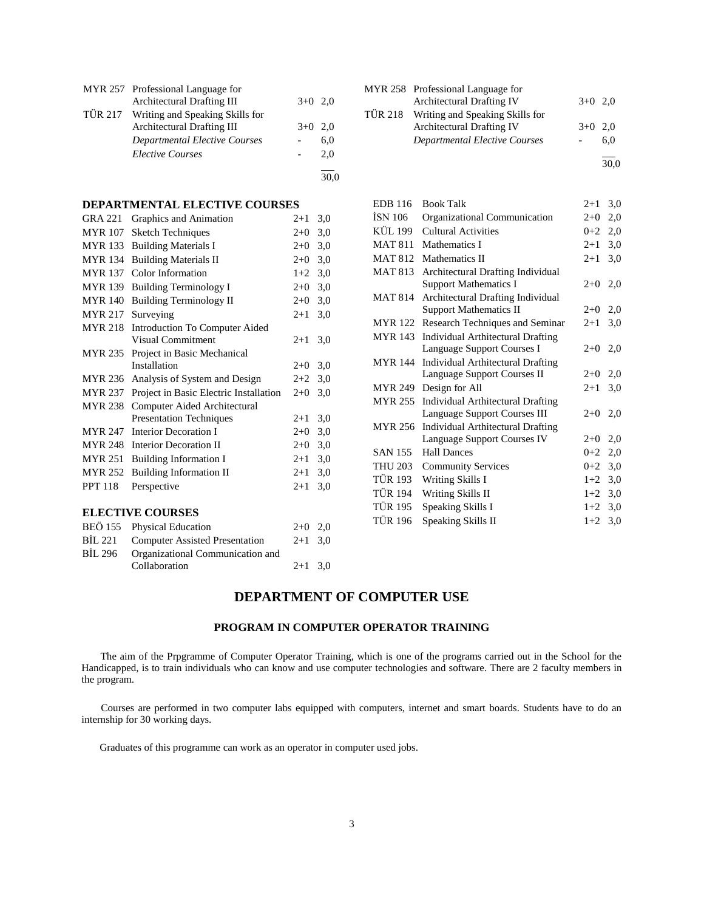| MYR 257 Professional Language for       |           |     |
|-----------------------------------------|-----------|-----|
| Architectural Drafting III              | $3+0$ 2.0 |     |
| TÜR 217 Writing and Speaking Skills for |           |     |
| Architectural Drafting III              | $3+0$ 2.0 |     |
| Departmental Elective Courses           |           | 6,0 |
| <b>Elective Courses</b>                 |           | 2,0 |
|                                         |           |     |

# **DEPARTMENTAL ELECTIVE COURSES**

| <b>GRA 221</b> | Graphics and Animation                 | $2 + 1$ | 3,0 |
|----------------|----------------------------------------|---------|-----|
| <b>MYR 107</b> | <b>Sketch Techniques</b>               | $2+0$   | 3,0 |
| <b>MYR</b> 133 | <b>Building Materials I</b>            | $2+0$   | 3,0 |
| <b>MYR</b> 134 | <b>Building Materials II</b>           | $2+0$   | 3,0 |
| <b>MYR 137</b> | Color Information                      | $1+2$   | 3,0 |
| <b>MYR</b> 139 | <b>Building Terminology I</b>          | $2+0$   | 3,0 |
| <b>MYR</b> 140 | <b>Building Terminology II</b>         | $2+0$   | 3,0 |
| <b>MYR 217</b> | Surveying                              | $2 + 1$ | 3,0 |
| <b>MYR 218</b> | Introduction To Computer Aided         |         |     |
|                | Visual Commitment                      | $2 + 1$ | 3,0 |
| <b>MYR 235</b> | Project in Basic Mechanical            |         |     |
|                | Installation                           | $2+0$   | 3,0 |
| <b>MYR 236</b> | Analysis of System and Design          | $2+2$   | 3,0 |
| <b>MYR 237</b> | Project in Basic Electric Installation | $2+0$   | 3,0 |
| <b>MYR 238</b> | Computer Aided Architectural           |         |     |
|                | <b>Presentation Techniques</b>         | $2 + 1$ | 3,0 |
| <b>MYR 247</b> | Interior Decoration I                  | $2+0$   | 3,0 |
| <b>MYR 248</b> | Interior Decoration II                 | $2+0$   | 3,0 |
| <b>MYR 251</b> | <b>Building Information I</b>          | $2 + 1$ | 3,0 |
| <b>MYR 252</b> | <b>Building Information II</b>         | $2+1$   | 3,0 |
| <b>PPT 118</b> | Perspective                            | $2 + 1$ | 3,0 |
|                |                                        |         |     |
|                | <b>ELECTIVE COURSES</b>                |         |     |
| <b>BEÖ 155</b> | <b>Physical Education</b>              | $2+0$   | 2,0 |
| <b>BİL 221</b> | <b>Computer Assisted Presentation</b>  | $2+1$   | 3,0 |
| <b>BİL 296</b> | Organizational Communication and       |         |     |
|                | Collaboration                          | $2 + 1$ | 3,0 |

| MYR 258 Professional Language for       |           |     |
|-----------------------------------------|-----------|-----|
| <b>Architectural Drafting IV</b>        | $3+0$ 2,0 |     |
| TÜR 218 Writing and Speaking Skills for |           |     |
| <b>Architectural Drafting IV</b>        | $3+0$ 2,0 |     |
| Departmental Elective Courses           |           | 6.0 |
|                                         |           |     |

30,0

| <b>EDB</b> 116 | <b>Book Talk</b>                         | $2+1$   | 3,0 |
|----------------|------------------------------------------|---------|-----|
| ISN 106        | Organizational Communication             | $2+0$   | 2,0 |
| KÜL 199        | Cultural Activities                      | $0+2$   | 2,0 |
| <b>MAT 811</b> | Mathematics I                            | $2+1$   | 3,0 |
| <b>MAT 812</b> | Mathematics II                           | $2+1$   | 3,0 |
| <b>MAT 813</b> | <b>Architectural Drafting Individual</b> |         |     |
|                | <b>Support Mathematics I</b>             | $2+0$   | 2,0 |
| <b>MAT 814</b> | Architectural Drafting Individual        |         |     |
|                | <b>Support Mathematics II</b>            | $2+0$   | 2,0 |
| <b>MYR</b> 122 | Research Techniques and Seminar          | $2 + 1$ | 3,0 |
| <b>MYR</b> 143 | <b>Individual Arthitectural Drafting</b> |         |     |
|                | Language Support Courses I               | $2+0$   | 2,0 |
| <b>MYR</b> 144 | Individual Arthitectural Drafting        |         |     |
|                | Language Support Courses II              | $2+0$   | 2,0 |
| <b>MYR 249</b> | Design for All                           | $2+1$   | 3,0 |
| <b>MYR 255</b> | Individual Arthitectural Drafting        |         |     |
|                | Language Support Courses III             | $2+0$   | 2,0 |
| <b>MYR 256</b> | <b>Individual Arthitectural Drafting</b> |         |     |
|                | Language Support Courses IV              | $2+0$   | 2,0 |
| <b>SAN 155</b> | <b>Hall Dances</b>                       | $0 + 2$ | 2,0 |
| <b>THU 203</b> | <b>Community Services</b>                | $0+2$   | 3,0 |
| TÜR 193        | Writing Skills I                         | $1+2$   | 3,0 |
| <b>TÜR 194</b> | Writing Skills II                        | $1+2$   | 3,0 |
| <b>TÜR 195</b> | Speaking Skills I                        | $1+2$   | 3,0 |
| <b>TÜR 196</b> | Speaking Skills II                       | $1+2$   | 3,0 |
|                |                                          |         |     |

# **DEPARTMENT OF COMPUTER USE**

# **PROGRAM IN COMPUTER OPERATOR TRAINING**

 The aim of the Prpgramme of Computer Operator Training, which is one of the programs carried out in the School for the Handicapped, is to train individuals who can know and use computer technologies and software. There are 2 faculty members in the program.

 Courses are performed in two computer labs equipped with computers, internet and smart boards. Students have to do an internship for 30 working days.

Graduates of this programme can work as an operator in computer used jobs.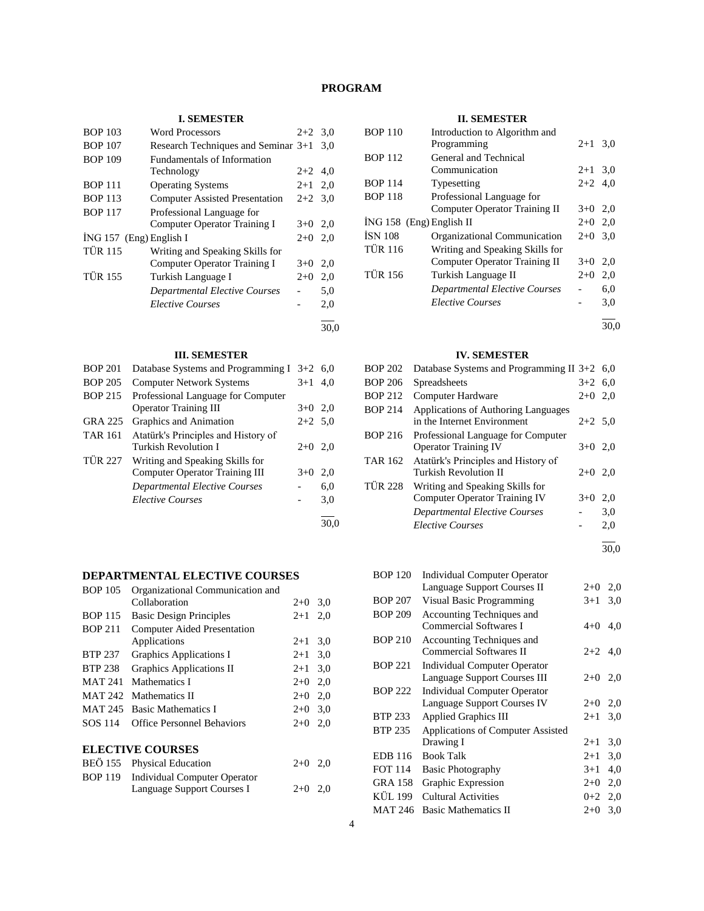# **PROGRAM**

## **I. SEMESTER**

| <b>BOP 103</b>            | <b>Word Processors</b>                | $2+2$     | 3,0  |
|---------------------------|---------------------------------------|-----------|------|
| <b>BOP 107</b>            | Research Techniques and Seminar 3+1   |           | 3.0  |
| <b>BOP 109</b>            | Fundamentals of Information           |           |      |
|                           | Technology                            | $2+2$     | 4,0  |
| <b>BOP 111</b>            | <b>Operating Systems</b>              | $2 + 1$   | 2,0  |
| <b>BOP 113</b>            | <b>Computer Assisted Presentation</b> | $2+2$ 3.0 |      |
| <b>BOP 117</b>            | Professional Language for             |           |      |
|                           | Computer Operator Training I          | $3+0$     | 2,0  |
| $ING 157$ (Eng) English I |                                       | $2+0$     | 2,0  |
| <b>TÜR 115</b>            | Writing and Speaking Skills for       |           |      |
|                           | Computer Operator Training I          | $3+0$     | 2,0  |
| <b>TÜR 155</b>            | Turkish Language I                    | $2+0$     | 2,0  |
|                           | Departmental Elective Courses         |           | 5,0  |
|                           | <b>Elective Courses</b>               |           | 2,0  |
|                           |                                       |           | 30.0 |

#### **III. SEMESTER**

| <b>BOP 201</b> | Database Systems and Programming I $3+2$ 6,0 |           |      |
|----------------|----------------------------------------------|-----------|------|
| <b>BOP 205</b> | <b>Computer Network Systems</b>              | $3+1$     | 4.0  |
| <b>BOP 215</b> | Professional Language for Computer           |           |      |
|                | <b>Operator Training III</b>                 | $3+0$ 2,0 |      |
| GRA 225        | Graphics and Animation                       | $2+2$ 5.0 |      |
| <b>TAR 161</b> | Atatürk's Principles and History of          |           |      |
|                | Turkish Revolution I                         | $2+0$     | 2,0  |
| <b>TÜR 227</b> | Writing and Speaking Skills for              |           |      |
|                | <b>Computer Operator Training III</b>        | $3+0$     | 2,0  |
|                | Departmental Elective Courses                |           | 6,0  |
|                | <b>Elective Courses</b>                      |           | 3,0  |
|                |                                              |           | 30.0 |

# **DEPARTMENTAL ELECTIVE COURSES**

| <b>BOP 105</b> | Organizational Communication and   |         |     |
|----------------|------------------------------------|---------|-----|
|                | Collaboration                      | $2+0$   | 3,0 |
| <b>BOP 115</b> | <b>Basic Design Principles</b>     | $2 + 1$ | 2,0 |
| <b>BOP 211</b> | <b>Computer Aided Presentation</b> |         |     |
|                | Applications                       | $2+1$   | 3,0 |
| <b>BTP 237</b> | Graphics Applications I            | $2 + 1$ | 3,0 |
| <b>BTP 238</b> | <b>Graphics Applications II</b>    | $2+1$   | 3,0 |
| <b>MAT 241</b> | Mathematics I                      | $2+0$   | 2,0 |
| MAT 242        | Mathematics II                     | $2+0$   | 2,0 |
| <b>MAT 245</b> | <b>Basic Mathematics I</b>         | $2+0$   | 3.0 |
| <b>SOS 114</b> | <b>Office Personnel Behaviors</b>  | $2+0$   | 2,0 |
|                | <b>ELECTIVE COURSES</b>            |         |     |
|                | BEÖ 155 Physical Education         | $2+0$   | 2.0 |

# BOP 119 Individual Computer Operator Language Support Courses I 2+0 2,0

## **II. SEMESTER**

| <b>BOP 110</b>             | Introduction to Algorithm and        |           |     |
|----------------------------|--------------------------------------|-----------|-----|
|                            | Programming                          | $2 + 1$   | 3,0 |
| <b>BOP 112</b>             | General and Technical                |           |     |
|                            | Communication                        | $2 + 1$   | 3,0 |
| <b>BOP 114</b>             | Typesetting                          | $2+2$ 4.0 |     |
| <b>BOP 118</b>             | Professional Language for            |           |     |
|                            | Computer Operator Training II        | $3+0$     | 2,0 |
| $ING 158$ (Eng) English II |                                      | $2+0$ 2.0 |     |
| <b>ISN 108</b>             | Organizational Communication         | $2+0$     | 3,0 |
| <b>TÜR 116</b>             | Writing and Speaking Skills for      |           |     |
|                            | Computer Operator Training II        | $3+0$     | 2,0 |
| <b>TÜR 156</b>             | Turkish Language II                  | $2+0$     | 2,0 |
|                            | <b>Departmental Elective Courses</b> |           | 6,0 |
|                            | <b>Elective Courses</b>              |           | 3,0 |
|                            |                                      |           |     |

# 30,0

## **IV. SEMESTER**

| <b>BOP 202</b> | Database Systems and Programming II $3+2$ 6,0                           |           |     |
|----------------|-------------------------------------------------------------------------|-----------|-----|
| <b>BOP 206</b> | <b>Spreadsheets</b>                                                     | $3+2$ 6,0 |     |
| <b>BOP 212</b> | Computer Hardware                                                       | $2+0$ 2,0 |     |
| <b>BOP 214</b> | Applications of Authoring Languages<br>in the Internet Environment      | $2+2$ 5.0 |     |
| <b>BOP 216</b> | Professional Language for Computer<br><b>Operator Training IV</b>       | $3+0$ 2.0 |     |
| <b>TAR 162</b> | Atatürk's Principles and History of<br>Turkish Revolution II            | $2+0$ 2,0 |     |
| <b>TÜR 228</b> | Writing and Speaking Skills for<br><b>Computer Operator Training IV</b> | $3+0$     | 2,0 |
|                | <b>Departmental Elective Courses</b>                                    |           | 3,0 |
|                | <b>Elective Courses</b>                                                 |           | 2,0 |
|                |                                                                         |           |     |

30,0

| <b>BOP 120</b> | Individual Computer Operator                               |           |     |
|----------------|------------------------------------------------------------|-----------|-----|
|                | Language Support Courses II                                | $2+0$     | 2,0 |
| <b>BOP 207</b> | Visual Basic Programming                                   | $3+1$     | 3,0 |
| <b>BOP 209</b> | Accounting Techniques and<br><b>Commercial Softwares I</b> | $4 + 0$   | 4,0 |
| <b>BOP 210</b> | Accounting Techniques and<br>Commercial Softwares II       | $2+2$ 4,0 |     |
| <b>BOP 221</b> | Individual Computer Operator                               |           |     |
|                | Language Support Courses III                               | $2+0$ 2,0 |     |
| <b>BOP 222</b> | Individual Computer Operator                               |           |     |
|                | Language Support Courses IV                                | $2+0$     | 2,0 |
| <b>BTP 233</b> | <b>Applied Graphics III</b>                                | $2 + 1$   | 3,0 |
| BTP 235        | Applications of Computer Assisted                          |           |     |
|                | Drawing I                                                  | $2+1$     | 3,0 |
| EDB 116        | <b>Book Talk</b>                                           | $2+1$     | 3,0 |
| <b>FOT 114</b> | <b>Basic Photography</b>                                   | $3+1$     | 4,0 |
| <b>GRA 158</b> | Graphic Expression                                         | $2+0$     | 2,0 |
| KÜL 199        | Cultural Activities                                        | $0 + 2$   | 2,0 |
| <b>MAT 246</b> | <b>Basic Mathematics II</b>                                | $2+0$     | 3,0 |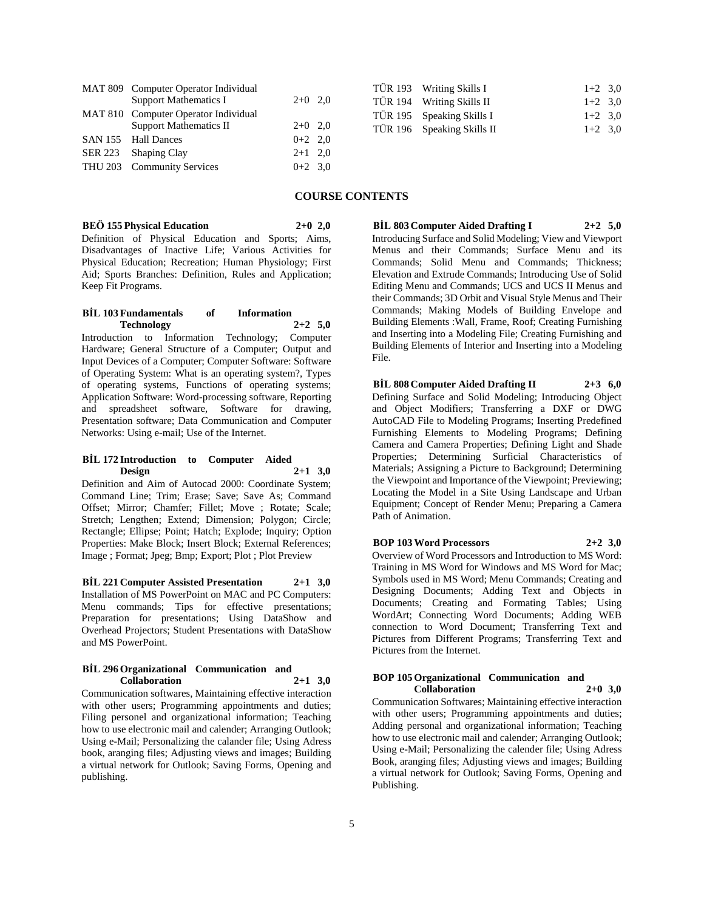| MAT 809 Computer Operator Individual |           |  |
|--------------------------------------|-----------|--|
| <b>Support Mathematics I</b>         | $2+0$ 2,0 |  |
| MAT 810 Computer Operator Individual |           |  |
| <b>Support Mathematics II</b>        | $2+0$ 2,0 |  |
| SAN 155 Hall Dances                  | $0+2$ 2,0 |  |
| SER 223 Shaping Clay                 | $2+1$ 2,0 |  |
| THU 203 Community Services           | $0+2$ 3.0 |  |

|  | TÜR 193 Writing Skills I   | $1+2$ 3.0 |  |
|--|----------------------------|-----------|--|
|  | TÜR 194 Writing Skills II  | $1+2$ 3.0 |  |
|  | TÜR 195 Speaking Skills I  | $1+2$ 3.0 |  |
|  | TÜR 196 Speaking Skills II | $1+2$ 3.0 |  |
|  |                            |           |  |

# **COURSE CONTENTS**

**BEÖ 155 Physical Education 2+0 2,0**

Definition of Physical Education and Sports; Aims, Disadvantages of Inactive Life; Various Activities for Physical Education; Recreation; Human Physiology; First Aid; Sports Branches: Definition, Rules and Application; Keep Fit Programs.

#### **BİL 103 Fundamentals of Information Technology 2+2 5,0**

Introduction to Information Technology; Computer Hardware; General Structure of a Computer; Output and Input Devices of a Computer; Computer Software: Software of Operating System: What is an operating system?, Types of operating systems, Functions of operating systems; Application Software: Word-processing software, Reporting and spreadsheet software, Software for drawing, Presentation software; Data Communication and Computer Networks: Using e-mail; Use of the Internet.

## **BİL 172 Introduction to Computer Aided Design 2+1 3,0**

Definition and Aim of Autocad 2000: Coordinate System; Command Line; Trim; Erase; Save; Save As; Command Offset; Mirror; Chamfer; Fillet; Move ; Rotate; Scale; Stretch; Lengthen; Extend; Dimension; Polygon; Circle; Rectangle; Ellipse; Point; Hatch; Explode; Inquiry; Option Properties: Make Block; Insert Block; External References; Image ; Format; Jpeg; Bmp; Export; Plot ; Plot Preview

**BİL 221 Computer Assisted Presentation 2+1 3,0** Installation of MS PowerPoint on MAC and PC Computers: Menu commands; Tips for effective presentations; Preparation for presentations; Using DataShow and Overhead Projectors; Student Presentations with DataShow and MS PowerPoint.

#### **BİL 296 Organizational Communication and Collaboration 2+1 3,0**

Communication softwares, Maintaining effective interaction with other users; Programming appointments and duties; Filing personel and organizational information; Teaching how to use electronic mail and calender; Arranging Outlook; Using e-Mail; Personalizing the calander file; Using Adress book, aranging files; Adjusting views and images; Building a virtual network for Outlook; Saving Forms, Opening and publishing.

**BİL 803 Computer Aided Drafting I 2+2 5,0** Introducing Surface and Solid Modeling; View and Viewport Menus and their Commands; Surface Menu and its Commands; Solid Menu and Commands; Thickness; Elevation and Extrude Commands; Introducing Use of Solid Editing Menu and Commands; UCS and UCS II Menus and their Commands; 3D Orbit and Visual Style Menus and Their Commands; Making Models of Building Envelope and Building Elements :Wall, Frame, Roof; Creating Furnishing and Inserting into a Modeling File; Creating Furnishing and Building Elements of Interior and Inserting into a Modeling File.

**BİL 808 Computer Aided Drafting II 2+3 6,0** Defining Surface and Solid Modeling; Introducing Object and Object Modifiers; Transferring a DXF or DWG AutoCAD File to Modeling Programs; Inserting Predefined Furnishing Elements to Modeling Programs; Defining Camera and Camera Properties; Defining Light and Shade Properties; Determining Surficial Characteristics of Materials; Assigning a Picture to Background; Determining the Viewpoint and Importance of the Viewpoint; Previewing; Locating the Model in a Site Using Landscape and Urban Equipment; Concept of Render Menu; Preparing a Camera Path of Animation.

**BOP 103 Word Processors 2+2 3,0** Overview of Word Processors and Introduction to MS Word: Training in MS Word for Windows and MS Word for Mac;

Symbols used in MS Word; Menu Commands; Creating and Designing Documents; Adding Text and Objects in Documents; Creating and Formating Tables; Using WordArt; Connecting Word Documents; Adding WEB connection to Word Document; Transferring Text and Pictures from Different Programs; Transferring Text and Pictures from the Internet.

## **BOP 105 Organizational Communication and Collaboration 2+0 3,0**

Communication Softwares; Maintaining effective interaction with other users; Programming appointments and duties; Adding personal and organizational information; Teaching how to use electronic mail and calender; Arranging Outlook; Using e-Mail; Personalizing the calender file; Using Adress Book, aranging files; Adjusting views and images; Building a virtual network for Outlook; Saving Forms, Opening and Publishing.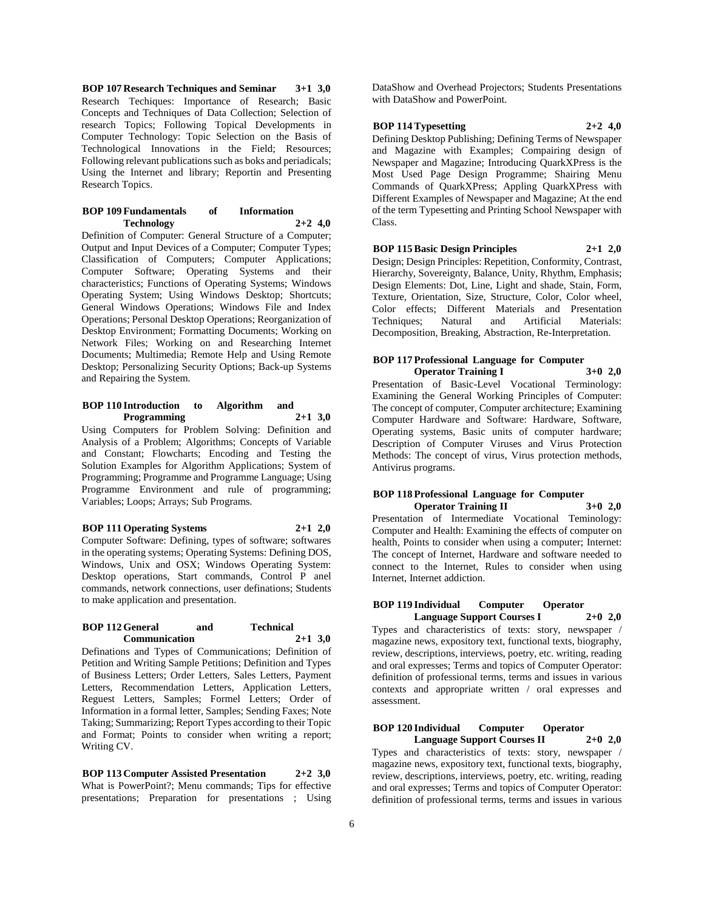**BOP 107 Research Techniques and Seminar 3+1 3,0** Research Techiques: Importance of Research; Basic Concepts and Techniques of Data Collection; Selection of research Topics; Following Topical Developments in Computer Technology: Topic Selection on the Basis of Technological Innovations in the Field; Resources; Following relevant publications such as boks and periadicals; Using the Internet and library; Reportin and Presenting Research Topics.

## **BOP 109 Fundamentals of Information Technology 2+2 4,0**

Definition of Computer: General Structure of a Computer; Output and Input Devices of a Computer; Computer Types; Classification of Computers; Computer Applications; Computer Software; Operating Systems and their characteristics; Functions of Operating Systems; Windows Operating System; Using Windows Desktop; Shortcuts; General Windows Operations; Windows File and Index Operations; Personal Desktop Operations; Reorganization of Desktop Environment; Formatting Documents; Working on Network Files; Working on and Researching Internet Documents; Multimedia; Remote Help and Using Remote Desktop; Personalizing Security Options; Back-up Systems and Repairing the System.

## **BOP 110 Introduction to Algorithm and Programming 2+1 3,0**

Using Computers for Problem Solving: Definition and Analysis of a Problem; Algorithms; Concepts of Variable and Constant; Flowcharts; Encoding and Testing the Solution Examples for Algorithm Applications; System of Programming; Programme and Programme Language; Using Programme Environment and rule of programming; Variables; Loops; Arrays; Sub Programs.

## **BOP 111 Operating Systems 2+1 2,0**

Computer Software: Defining, types of software; softwares in the operating systems; Operating Systems: Defining DOS, Windows, Unix and OSX; Windows Operating System: Desktop operations, Start commands, Control P anel commands, network connections, user definations; Students to make application and presentation.

#### **BOP 112 General and Technical Communication 2+1 3,0**

Definations and Types of Communications; Definition of Petition and Writing Sample Petitions; Definition and Types of Business Letters; Order Letters, Sales Letters, Payment Letters, Recommendation Letters, Application Letters, Reguest Letters, Samples; Formel Letters; Order of Information in a formal letter, Samples; Sending Faxes; Note Taking; Summarizing; Report Types according to their Topic and Format; Points to consider when writing a report; Writing CV.

**BOP 113 Computer Assisted Presentation 2+2 3,0** What is PowerPoint?; Menu commands; Tips for effective presentations; Preparation for presentations ; Using DataShow and Overhead Projectors; Students Presentations with DataShow and PowerPoint.

## **BOP 114 Typesetting 2+2 4,0**

Defining Desktop Publishing; Defining Terms of Newspaper and Magazine with Examples; Compairing design of Newspaper and Magazine; Introducing QuarkXPress is the Most Used Page Design Programme; Shairing Menu Commands of QuarkXPress; Appling QuarkXPress with Different Examples of Newspaper and Magazine; At the end of the term Typesetting and Printing School Newspaper with Class.

# **BOP 115 Basic Design Principles 2+1 2,0**

Design; Design Principles: Repetition, Conformity, Contrast, Hierarchy, Sovereignty, Balance, Unity, Rhythm, Emphasis; Design Elements: Dot, Line, Light and shade, Stain, Form, Texture, Orientation, Size, Structure, Color, Color wheel, Color effects; Different Materials and Presentation Techniques; Natural and Artificial Materials: Decomposition, Breaking, Abstraction, Re-Interpretation.

## **BOP 117 Professional Language for Computer Operator Training I 3+0 2,0**

Presentation of Basic-Level Vocational Terminology: Examining the General Working Principles of Computer: The concept of computer, Computer architecture; Examining Computer Hardware and Software: Hardware, Software, Operating systems, Basic units of computer hardware; Description of Computer Viruses and Virus Protection Methods: The concept of virus, Virus protection methods, Antivirus programs.

#### **BOP 118 Professional Language for Computer Operator Training II 3+0 2,0**

Presentation of Intermediate Vocational Teminology: Computer and Health: Examining the effects of computer on health, Points to consider when using a computer; Internet: The concept of Internet, Hardware and software needed to connect to the Internet, Rules to consider when using Internet, Internet addiction.

#### **BOP 119 Individual Computer Operator Language Support Courses I 2+0 2,0**

Types and characteristics of texts: story, newspaper / magazine news, expository text, functional texts, biography, review, descriptions, interviews, poetry, etc. writing, reading and oral expresses; Terms and topics of Computer Operator: definition of professional terms, terms and issues in various contexts and appropriate written / oral expresses and assessment.

#### **BOP 120 Individual Computer Operator Language Support Courses II 2+0 2,0**

Types and characteristics of texts: story, newspaper / magazine news, expository text, functional texts, biography, review, descriptions, interviews, poetry, etc. writing, reading and oral expresses; Terms and topics of Computer Operator: definition of professional terms, terms and issues in various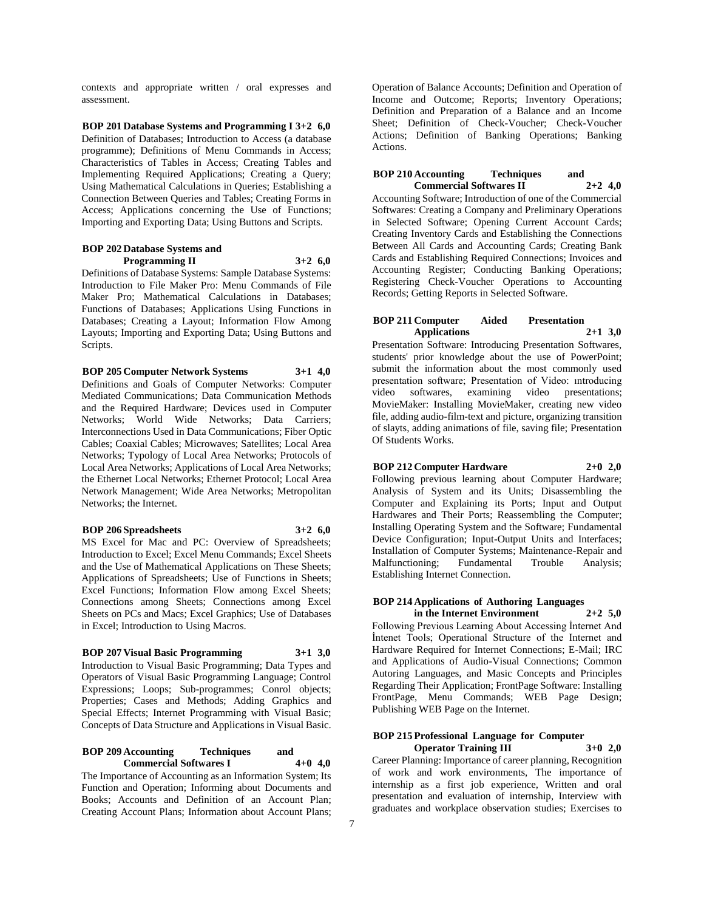contexts and appropriate written / oral expresses and assessment.

**BOP 201 Database Systems and Programming I 3+2 6,0** Definition of Databases; Introduction to Access (a database programme); Definitions of Menu Commands in Access; Characteristics of Tables in Access; Creating Tables and Implementing Required Applications; Creating a Query; Using Mathematical Calculations in Queries; Establishing a Connection Between Queries and Tables; Creating Forms in Access; Applications concerning the Use of Functions; Importing and Exporting Data; Using Buttons and Scripts.

## **BOP 202 Database Systems and Programming II 3+2 6,0**

Definitions of Database Systems: Sample Database Systems: Introduction to File Maker Pro: Menu Commands of File Maker Pro; Mathematical Calculations in Databases; Functions of Databases; Applications Using Functions in Databases; Creating a Layout; Information Flow Among Layouts; Importing and Exporting Data; Using Buttons and Scripts.

**BOP 205 Computer Network Systems 3+1 4,0** Definitions and Goals of Computer Networks: Computer Mediated Communications; Data Communication Methods and the Required Hardware; Devices used in Computer Networks; World Wide Networks; Data Carriers; Interconnections Used in Data Communications; Fiber Optic Cables; Coaxial Cables; Microwaves; Satellites; Local Area Networks; Typology of Local Area Networks; Protocols of Local Area Networks; Applications of Local Area Networks; the Ethernet Local Networks; Ethernet Protocol; Local Area Network Management; Wide Area Networks; Metropolitan Networks; the Internet.

## **BOP 206 Spreadsheets 3+2 6,0**

MS Excel for Mac and PC: Overview of Spreadsheets; Introduction to Excel; Excel Menu Commands; Excel Sheets and the Use of Mathematical Applications on These Sheets; Applications of Spreadsheets; Use of Functions in Sheets; Excel Functions; Information Flow among Excel Sheets; Connections among Sheets; Connections among Excel Sheets on PCs and Macs; Excel Graphics; Use of Databases in Excel; Introduction to Using Macros.

# **BOP 207 Visual Basic Programming 3+1 3,0**

Introduction to Visual Basic Programming; Data Types and Operators of Visual Basic Programming Language; Control Expressions; Loops; Sub-programmes; Conrol objects; Properties; Cases and Methods; Adding Graphics and Special Effects; Internet Programming with Visual Basic; Concepts of Data Structure and Applications in Visual Basic.

## **BOP 209 Accounting Techniques and Commercial Softwares I 4+0 4,0**

The Importance of Accounting as an Information System; Its Function and Operation; Informing about Documents and Books; Accounts and Definition of an Account Plan; Creating Account Plans; Information about Account Plans;

Operation of Balance Accounts; Definition and Operation of Income and Outcome; Reports; Inventory Operations; Definition and Preparation of a Balance and an Income Sheet; Definition of Check-Voucher; Check-Voucher Actions; Definition of Banking Operations; Banking Actions.

## **BOP 210 Accounting Techniques and Commercial Softwares II 2+2 4,0**

Accounting Software; Introduction of one of the Commercial Softwares: Creating a Company and Preliminary Operations in Selected Software; Opening Current Account Cards; Creating Inventory Cards and Establishing the Connections Between All Cards and Accounting Cards; Creating Bank Cards and Establishing Required Connections; Invoices and Accounting Register; Conducting Banking Operations; Registering Check-Voucher Operations to Accounting Records; Getting Reports in Selected Software.

## **BOP 211 Computer Aided Presentation Applications 2+1 3,0**

Presentation Software: Introducing Presentation Softwares, students' prior knowledge about the use of PowerPoint; submit the information about the most commonly used presentation software; Presentation of Video: ıntroducing video softwares, examining video presentations; MovieMaker: Installing MovieMaker, creating new video file, adding audio-film-text and picture, organizing transition of slayts, adding animations of file, saving file; Presentation Of Students Works.

# **BOP 212 Computer Hardware 2+0 2,0**

Following previous learning about Computer Hardware; Analysis of System and its Units; Disassembling the Computer and Explaining its Ports; Input and Output Hardwares and Their Ports; Reassembling the Computer; Installing Operating System and the Software; Fundamental Device Configuration; Input-Output Units and Interfaces; Installation of Computer Systems; Maintenance-Repair and Malfunctioning; Fundamental Trouble Analysis; Establishing Internet Connection.

#### **BOP 214 Applications of Authoring Languages in the Internet Environment 2+2 5,0**

Following Previous Learning About Accessing İnternet And İntenet Tools; Operational Structure of the Internet and Hardware Required for Internet Connections; E-Mail; IRC and Applications of Audio-Visual Connections; Common Autoring Languages, and Masic Concepts and Principles Regarding Their Application; FrontPage Software: Installing FrontPage, Menu Commands; WEB Page Design; Publishing WEB Page on the Internet.

# **BOP 215 Professional Language for Computer**

**Operator Training III 3+0 2,0** Career Planning: Importance of career planning, Recognition of work and work environments, The importance of internship as a first job experience, Written and oral presentation and evaluation of internship, Interview with graduates and workplace observation studies; Exercises to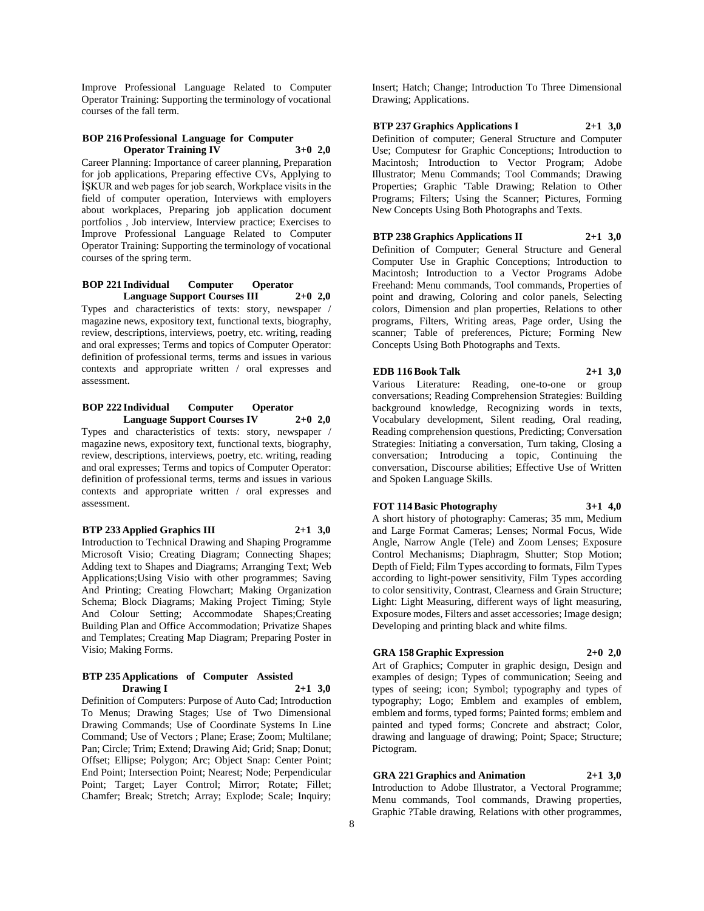Improve Professional Language Related to Computer Operator Training: Supporting the terminology of vocational courses of the fall term.

#### **BOP 216 Professional Language for Computer Operator Training IV 3+0 2,0**

Career Planning: Importance of career planning, Preparation for job applications, Preparing effective CVs, Applying to İŞKUR and web pages for job search, Workplace visits in the field of computer operation, Interviews with employers about workplaces, Preparing job application document portfolios , Job interview, Interview practice; Exercises to Improve Professional Language Related to Computer Operator Training: Supporting the terminology of vocational courses of the spring term.

## **BOP 221 Individual Computer Operator Language Support Courses III 2+0 2,0**

Types and characteristics of texts: story, newspaper / magazine news, expository text, functional texts, biography, review, descriptions, interviews, poetry, etc. writing, reading and oral expresses; Terms and topics of Computer Operator: definition of professional terms, terms and issues in various contexts and appropriate written / oral expresses and assessment.

# **BOP 222 Individual Computer Operator Language Support Courses IV 2+0 2,0**

Types and characteristics of texts: story, newspaper / magazine news, expository text, functional texts, biography, review, descriptions, interviews, poetry, etc. writing, reading and oral expresses; Terms and topics of Computer Operator: definition of professional terms, terms and issues in various contexts and appropriate written / oral expresses and assessment.

## **BTP 233 Applied Graphics III 2+1 3,0**

Introduction to Technical Drawing and Shaping Programme Microsoft Visio; Creating Diagram; Connecting Shapes; Adding text to Shapes and Diagrams; Arranging Text; Web Applications;Using Visio with other programmes; Saving And Printing; Creating Flowchart; Making Organization Schema; Block Diagrams; Making Project Timing; Style And Colour Setting; Accommodate Shapes;Creating Building Plan and Office Accommodation; Privatize Shapes and Templates; Creating Map Diagram; Preparing Poster in Visio; Making Forms.

#### **BTP 235 Applications of Computer Assisted Drawing I 2+1 3,0**

Definition of Computers: Purpose of Auto Cad; Introduction To Menus; Drawing Stages; Use of Two Dimensional Drawing Commands; Use of Coordinate Systems In Line Command; Use of Vectors ; Plane; Erase; Zoom; Multilane; Pan; Circle; Trim; Extend; Drawing Aid; Grid; Snap; Donut; Offset; Ellipse; Polygon; Arc; Object Snap: Center Point; End Point; Intersection Point; Nearest; Node; Perpendicular Point; Target; Layer Control; Mirror; Rotate; Fillet; Chamfer; Break; Stretch; Array; Explode; Scale; Inquiry;

Insert; Hatch; Change; Introduction To Three Dimensional Drawing; Applications.

## **BTP 237 Graphics Applications I 2+1 3,0**

Definition of computer; General Structure and Computer Use; Computesr for Graphic Conceptions; Introduction to Macintosh; Introduction to Vector Program; Adobe Illustrator; Menu Commands; Tool Commands; Drawing Properties; Graphic 'Table Drawing; Relation to Other Programs; Filters; Using the Scanner; Pictures, Forming New Concepts Using Both Photographs and Texts.

# **BTP 238 Graphics Applications II 2+1 3,0**

Definition of Computer; General Structure and General Computer Use in Graphic Conceptions; Introduction to Macintosh; Introduction to a Vector Programs Adobe Freehand: Menu commands, Tool commands, Properties of point and drawing, Coloring and color panels, Selecting colors, Dimension and plan properties, Relations to other programs, Filters, Writing areas, Page order, Using the scanner; Table of preferences, Picture; Forming New Concepts Using Both Photographs and Texts.

# **EDB 116 Book Talk 2+1 3,0**

Various Literature: Reading, one-to-one or group conversations; Reading Comprehension Strategies: Building background knowledge, Recognizing words in texts, Vocabulary development, Silent reading, Oral reading, Reading comprehension questions, Predicting; Conversation Strategies: Initiating a conversation, Turn taking, Closing a conversation; Introducing a topic, Continuing the conversation, Discourse abilities; Effective Use of Written and Spoken Language Skills.

# **FOT 114 Basic Photography 3+1 4,0**

A short history of photography: Cameras; 35 mm, Medium and Large Format Cameras; Lenses; Normal Focus, Wide Angle, Narrow Angle (Tele) and Zoom Lenses; Exposure Control Mechanisms; Diaphragm, Shutter; Stop Motion; Depth of Field; Film Types according to formats, Film Types according to light-power sensitivity, Film Types according to color sensitivity, Contrast, Clearness and Grain Structure; Light: Light Measuring, different ways of light measuring, Exposure modes, Filters and asset accessories; Image design; Developing and printing black and white films.

# **GRA 158 Graphic Expression 2+0 2,0**

Art of Graphics; Computer in graphic design, Design and examples of design; Types of communication; Seeing and types of seeing; icon; Symbol; typography and types of typography; Logo; Emblem and examples of emblem, emblem and forms, typed forms; Painted forms; emblem and painted and typed forms; Concrete and abstract; Color, drawing and language of drawing; Point; Space; Structure; Pictogram.

**GRA 221 Graphics and Animation 2+1 3,0** Introduction to Adobe Illustrator, a Vectoral Programme; Menu commands, Tool commands, Drawing properties, Graphic ?Table drawing, Relations with other programmes,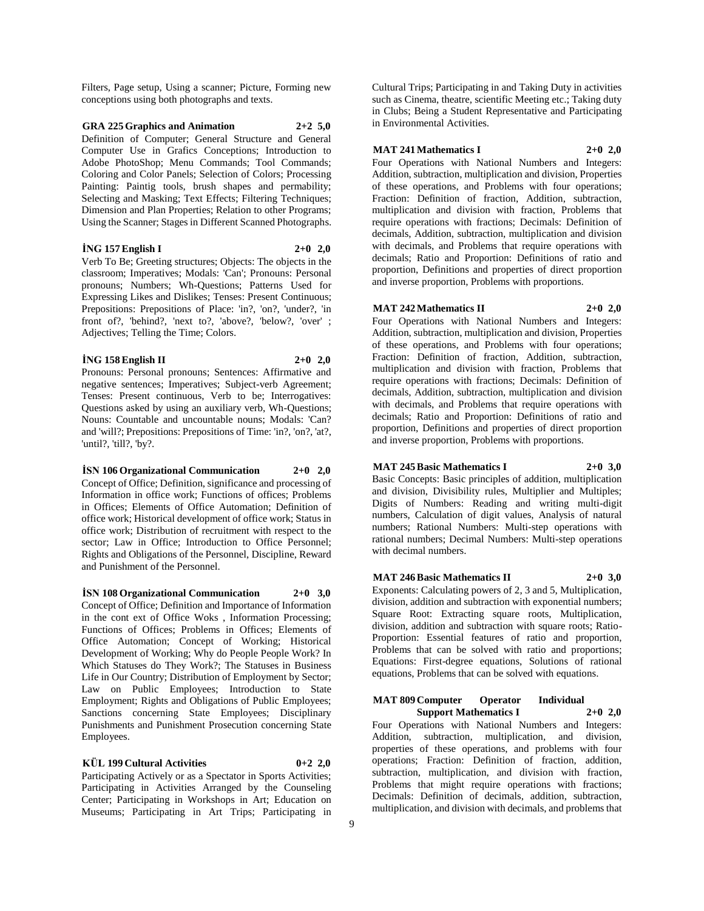Filters, Page setup, Using a scanner; Picture, Forming new conceptions using both photographs and texts.

## **GRA 225 Graphics and Animation 2+2 5,0** Definition of Computer; General Structure and General Computer Use in Grafics Conceptions; Introduction to Adobe PhotoShop; Menu Commands; Tool Commands; Coloring and Color Panels; Selection of Colors; Processing Painting: Paintig tools, brush shapes and permability; Selecting and Masking; Text Effects; Filtering Techniques; Dimension and Plan Properties; Relation to other Programs; Using the Scanner; Stages in Different Scanned Photographs.

#### **İNG 157 English I 2+0 2,0**

Verb To Be; Greeting structures; Objects: The objects in the classroom; Imperatives; Modals: 'Can'; Pronouns: Personal pronouns; Numbers; Wh-Questions; Patterns Used for Expressing Likes and Dislikes; Tenses: Present Continuous; Prepositions: Prepositions of Place: 'in?, 'on?, 'under?, 'in front of?, 'behind?, 'next to?, 'above?, 'below?, 'over' ; Adjectives; Telling the Time; Colors.

## **İNG 158 English II 2+0 2,0**

Pronouns: Personal pronouns; Sentences: Affirmative and negative sentences; Imperatives; Subject-verb Agreement; Tenses: Present continuous, Verb to be; Interrogatives: Questions asked by using an auxiliary verb, Wh-Questions; Nouns: Countable and uncountable nouns; Modals: 'Can? and 'will?; Prepositions: Prepositions of Time: 'in?, 'on?, 'at?, 'until?, 'till?, 'by?.

## **İSN 106 Organizational Communication 2+0 2,0**

Concept of Office; Definition, significance and processing of Information in office work; Functions of offices; Problems in Offices; Elements of Office Automation; Definition of office work; Historical development of office work; Status in office work; Distribution of recruitment with respect to the sector; Law in Office; Introduction to Office Personnel; Rights and Obligations of the Personnel, Discipline, Reward and Punishment of the Personnel.

**İSN 108 Organizational Communication 2+0 3,0** Concept of Office; Definition and Importance of Information in the cont ext of Office Woks , Information Processing; Functions of Offices; Problems in Offices; Elements of Office Automation; Concept of Working; Historical Development of Working; Why do People People Work? In Which Statuses do They Work?; The Statuses in Business Life in Our Country; Distribution of Employment by Sector; Law on Public Employees; Introduction to State Employment; Rights and Obligations of Public Employees; Sanctions concerning State Employees; Disciplinary Punishments and Punishment Prosecution concerning State Employees.

## **KÜL 199 Cultural Activities 0+2 2,0**

Participating Actively or as a Spectator in Sports Activities; Participating in Activities Arranged by the Counseling Center; Participating in Workshops in Art; Education on Museums; Participating in Art Trips; Participating in

Cultural Trips; Participating in and Taking Duty in activities such as Cinema, theatre, scientific Meeting etc.; Taking duty in Clubs; Being a Student Representative and Participating in Environmental Activities.

## **MAT 241 Mathematics I 2+0 2,0**

Four Operations with National Numbers and Integers: Addition, subtraction, multiplication and division, Properties of these operations, and Problems with four operations; Fraction: Definition of fraction, Addition, subtraction, multiplication and division with fraction, Problems that require operations with fractions; Decimals: Definition of decimals, Addition, subtraction, multiplication and division with decimals, and Problems that require operations with decimals; Ratio and Proportion: Definitions of ratio and proportion, Definitions and properties of direct proportion and inverse proportion, Problems with proportions.

# **MAT 242 Mathematics II 2+0 2,0**

Four Operations with National Numbers and Integers: Addition, subtraction, multiplication and division, Properties of these operations, and Problems with four operations; Fraction: Definition of fraction, Addition, subtraction, multiplication and division with fraction, Problems that require operations with fractions; Decimals: Definition of decimals, Addition, subtraction, multiplication and division with decimals, and Problems that require operations with decimals; Ratio and Proportion: Definitions of ratio and proportion, Definitions and properties of direct proportion and inverse proportion, Problems with proportions.

# **MAT 245 Basic Mathematics I 2+0 3,0**

Basic Concepts: Basic principles of addition, multiplication and division, Divisibility rules, Multiplier and Multiples; Digits of Numbers: Reading and writing multi-digit numbers, Calculation of digit values, Analysis of natural numbers; Rational Numbers: Multi-step operations with rational numbers; Decimal Numbers: Multi-step operations with decimal numbers.

## **MAT 246 Basic Mathematics II 2+0 3,0**

Exponents: Calculating powers of 2, 3 and 5, Multiplication, division, addition and subtraction with exponential numbers; Square Root: Extracting square roots, Multiplication, division, addition and subtraction with square roots; Ratio-Proportion: Essential features of ratio and proportion, Problems that can be solved with ratio and proportions; Equations: First-degree equations, Solutions of rational equations, Problems that can be solved with equations.

# **MAT 809 Computer Operator Individual**

**Support Mathematics I 2+0 2,0** Four Operations with National Numbers and Integers: Addition, subtraction, multiplication, and division, properties of these operations, and problems with four operations; Fraction: Definition of fraction, addition, subtraction, multiplication, and division with fraction, Problems that might require operations with fractions; Decimals: Definition of decimals, addition, subtraction, multiplication, and division with decimals, and problems that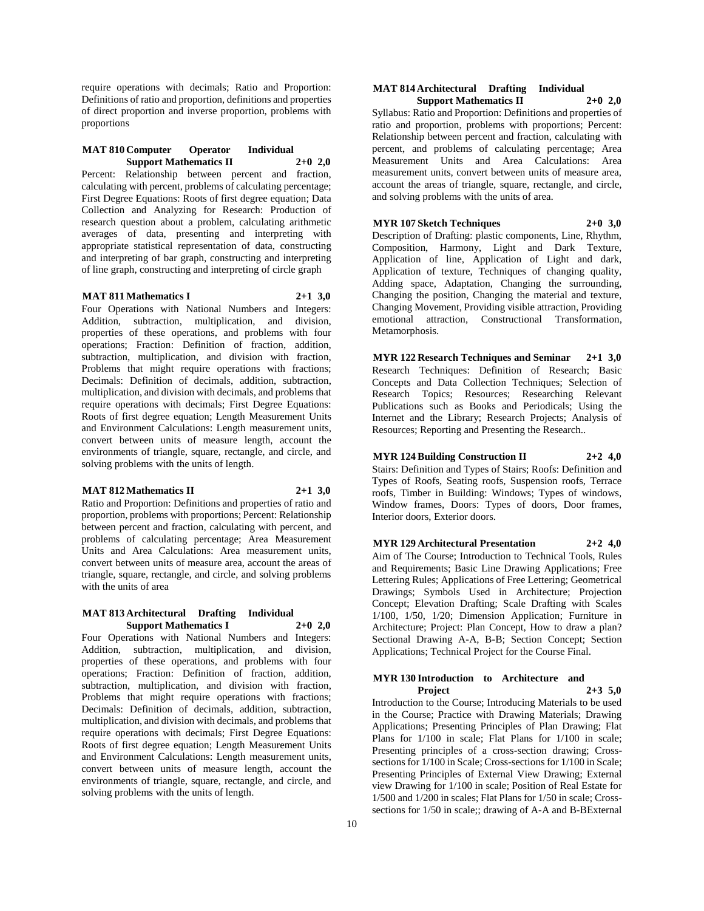require operations with decimals; Ratio and Proportion: Definitions of ratio and proportion, definitions and properties of direct proportion and inverse proportion, problems with proportions

#### **MAT 810 Computer Operator Individual Support Mathematics II 2+0 2,0**

Percent: Relationship between percent and fraction, calculating with percent, problems of calculating percentage; First Degree Equations: Roots of first degree equation; Data Collection and Analyzing for Research: Production of research question about a problem, calculating arithmetic averages of data, presenting and interpreting with appropriate statistical representation of data, constructing and interpreting of bar graph, constructing and interpreting of line graph, constructing and interpreting of circle graph

## **MAT 811 Mathematics I 2+1 3,0**

Four Operations with National Numbers and Integers: Addition, subtraction, multiplication, and division, properties of these operations, and problems with four operations; Fraction: Definition of fraction, addition, subtraction, multiplication, and division with fraction, Problems that might require operations with fractions; Decimals: Definition of decimals, addition, subtraction, multiplication, and division with decimals, and problems that require operations with decimals; First Degree Equations: Roots of first degree equation; Length Measurement Units and Environment Calculations: Length measurement units, convert between units of measure length, account the environments of triangle, square, rectangle, and circle, and solving problems with the units of length.

#### **MAT 812 Mathematics II 2+1 3,0**

Ratio and Proportion: Definitions and properties of ratio and proportion, problems with proportions; Percent: Relationship between percent and fraction, calculating with percent, and problems of calculating percentage; Area Measurement Units and Area Calculations: Area measurement units, convert between units of measure area, account the areas of triangle, square, rectangle, and circle, and solving problems with the units of area

## **MAT 813 Architectural Drafting Individual Support Mathematics I 2+0 2,0**

Four Operations with National Numbers and Integers: Addition, subtraction, multiplication, and division, properties of these operations, and problems with four operations; Fraction: Definition of fraction, addition, subtraction, multiplication, and division with fraction, Problems that might require operations with fractions; Decimals: Definition of decimals, addition, subtraction, multiplication, and division with decimals, and problems that require operations with decimals; First Degree Equations: Roots of first degree equation; Length Measurement Units and Environment Calculations: Length measurement units, convert between units of measure length, account the environments of triangle, square, rectangle, and circle, and solving problems with the units of length.

#### **MAT 814 Architectural Drafting Individual Support Mathematics II 2+0 2,0**

Syllabus: Ratio and Proportion: Definitions and properties of ratio and proportion, problems with proportions; Percent: Relationship between percent and fraction, calculating with percent, and problems of calculating percentage; Area Measurement Units and Area Calculations: Area measurement units, convert between units of measure area, account the areas of triangle, square, rectangle, and circle, and solving problems with the units of area.

# **MYR 107 Sketch Techniques 2+0 3,0**

Description of Drafting: plastic components, Line, Rhythm, Composition, Harmony, Light and Dark Texture, Application of line, Application of Light and dark, Application of texture, Techniques of changing quality, Adding space, Adaptation, Changing the surrounding, Changing the position, Changing the material and texture, Changing Movement, Providing visible attraction, Providing emotional attraction, Constructional Transformation, Metamorphosis.

**MYR 122 Research Techniques and Seminar 2+1 3,0** Research Techniques: Definition of Research; Basic Concepts and Data Collection Techniques; Selection of Research Topics; Resources; Researching Relevant Publications such as Books and Periodicals; Using the Internet and the Library; Research Projects; Analysis of Resources; Reporting and Presenting the Research..

## **MYR 124 Building Construction II 2+2 4,0**

Stairs: Definition and Types of Stairs; Roofs: Definition and Types of Roofs, Seating roofs, Suspension roofs, Terrace roofs, Timber in Building: Windows; Types of windows, Window frames, Doors: Types of doors, Door frames, Interior doors, Exterior doors.

## **MYR 129 Architectural Presentation 2+2 4,0**

Aim of The Course; Introduction to Technical Tools, Rules and Requirements; Basic Line Drawing Applications; Free Lettering Rules; Applications of Free Lettering; Geometrical Drawings; Symbols Used in Architecture; Projection Concept; Elevation Drafting; Scale Drafting with Scales 1/100, 1/50, 1/20; Dimension Application; Furniture in Architecture; Project: Plan Concept, How to draw a plan? Sectional Drawing A-A, B-B; Section Concept; Section Applications; Technical Project for the Course Final.

## **MYR 130 Introduction to Architecture and Project 2+3 5,0**

Introduction to the Course; Introducing Materials to be used in the Course; Practice with Drawing Materials; Drawing Applications; Presenting Principles of Plan Drawing; Flat Plans for 1/100 in scale; Flat Plans for 1/100 in scale; Presenting principles of a cross-section drawing; Crosssections for 1/100 in Scale; Cross-sections for 1/100 in Scale; Presenting Principles of External View Drawing; External view Drawing for 1/100 in scale; Position of Real Estate for 1/500 and 1/200 in scales; Flat Plans for 1/50 in scale; Crosssections for 1/50 in scale;; drawing of A-A and B-BExternal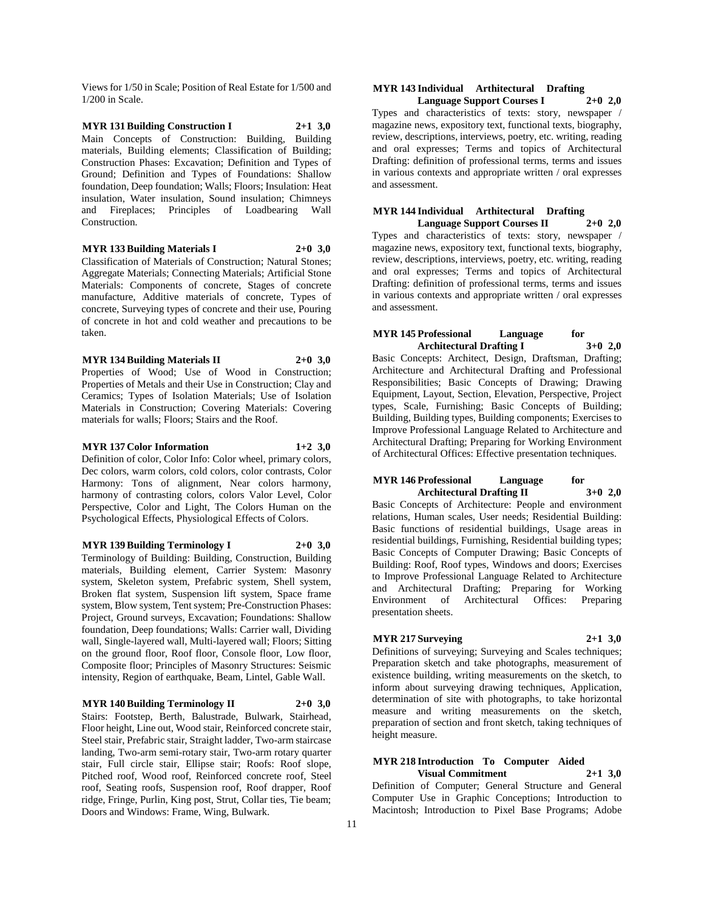Views for 1/50 in Scale; Position of Real Estate for 1/500 and 1/200 in Scale.

**MYR 131 Building Construction I 2+1 3,0** Main Concepts of Construction: Building, Building materials, Building elements; Classification of Building; Construction Phases: Excavation; Definition and Types of Ground; Definition and Types of Foundations: Shallow foundation, Deep foundation; Walls; Floors; Insulation: Heat insulation, Water insulation, Sound insulation; Chimneys and Fireplaces; Principles of Loadbearing Wall Construction.

#### **MYR 133 Building Materials I 2+0 3,0**

Classification of Materials of Construction; Natural Stones; Aggregate Materials; Connecting Materials; Artificial Stone Materials: Components of concrete, Stages of concrete manufacture, Additive materials of concrete, Types of concrete, Surveying types of concrete and their use, Pouring of concrete in hot and cold weather and precautions to be taken.

# **MYR 134 Building Materials II 2+0 3,0**

Properties of Wood; Use of Wood in Construction; Properties of Metals and their Use in Construction; Clay and Ceramics; Types of Isolation Materials; Use of Isolation Materials in Construction; Covering Materials: Covering materials for walls; Floors; Stairs and the Roof.

# **MYR 137 Color Information 1+2 3,0** Definition of color, Color Info: Color wheel, primary colors,

Dec colors, warm colors, cold colors, color contrasts, Color Harmony: Tons of alignment, Near colors harmony, harmony of contrasting colors, colors Valor Level, Color Perspective, Color and Light, The Colors Human on the Psychological Effects, Physiological Effects of Colors.

#### **MYR 139 Building Terminology I 2+0 3,0**

Terminology of Building: Building, Construction, Building materials, Building element, Carrier System: Masonry system, Skeleton system, Prefabric system, Shell system, Broken flat system, Suspension lift system, Space frame system, Blow system, Tent system; Pre-Construction Phases: Project, Ground surveys, Excavation; Foundations: Shallow foundation, Deep foundations; Walls: Carrier wall, Dividing wall, Single-layered wall, Multi-layered wall; Floors; Sitting on the ground floor, Roof floor, Console floor, Low floor, Composite floor; Principles of Masonry Structures: Seismic intensity, Region of earthquake, Beam, Lintel, Gable Wall.

#### **MYR 140 Building Terminology II 2+0 3,0**

Stairs: Footstep, Berth, Balustrade, Bulwark, Stairhead, Floor height, Line out, Wood stair, Reinforced concrete stair, Steel stair, Prefabric stair, Straight ladder, Two-arm staircase landing, Two-arm semi-rotary stair, Two-arm rotary quarter stair, Full circle stair, Ellipse stair; Roofs: Roof slope, Pitched roof, Wood roof, Reinforced concrete roof, Steel roof, Seating roofs, Suspension roof, Roof drapper, Roof ridge, Fringe, Purlin, King post, Strut, Collar ties, Tie beam; Doors and Windows: Frame, Wing, Bulwark.

## **MYR 143 Individual Arthitectural Drafting Language Support Courses I 2+0 2,0**

Types and characteristics of texts: story, newspaper / magazine news, expository text, functional texts, biography, review, descriptions, interviews, poetry, etc. writing, reading and oral expresses; Terms and topics of Architectural Drafting: definition of professional terms, terms and issues in various contexts and appropriate written / oral expresses and assessment.

#### **MYR 144 Individual Arthitectural Drafting Language Support Courses II 2+0 2,0**

Types and characteristics of texts: story, newspaper / magazine news, expository text, functional texts, biography, review, descriptions, interviews, poetry, etc. writing, reading and oral expresses; Terms and topics of Architectural Drafting: definition of professional terms, terms and issues in various contexts and appropriate written / oral expresses and assessment.

#### **MYR 145 Professional Language for Architectural Drafting I 3+0 2,0**

Basic Concepts: Architect, Design, Draftsman, Drafting; Architecture and Architectural Drafting and Professional Responsibilities; Basic Concepts of Drawing; Drawing Equipment, Layout, Section, Elevation, Perspective, Project types, Scale, Furnishing; Basic Concepts of Building; Building, Building types, Building components; Exercises to Improve Professional Language Related to Architecture and Architectural Drafting; Preparing for Working Environment of Architectural Offices: Effective presentation techniques.

#### **MYR** 146 Professional Language for<br>Architectural Drafting II 3+0 2.0 **Architectural Drafting II 3+0 2,0**

Basic Concepts of Architecture: People and environment relations, Human scales, User needs; Residential Building: Basic functions of residential buildings, Usage areas in residential buildings, Furnishing, Residential building types; Basic Concepts of Computer Drawing; Basic Concepts of Building: Roof, Roof types, Windows and doors; Exercises to Improve Professional Language Related to Architecture and Architectural Drafting; Preparing for Working Environment of Architectural Offices: Preparing presentation sheets.

## **MYR 217 Surveying 2+1 3,0**

Definitions of surveying; Surveying and Scales techniques; Preparation sketch and take photographs, measurement of existence building, writing measurements on the sketch, to inform about surveying drawing techniques, Application, determination of site with photographs, to take horizontal measure and writing measurements on the sketch, preparation of section and front sketch, taking techniques of height measure.

# **MYR 218 Introduction To Computer Aided**

**Visual Commitment 2+1 3,0** Definition of Computer; General Structure and General Computer Use in Graphic Conceptions; Introduction to Macintosh; Introduction to Pixel Base Programs; Adobe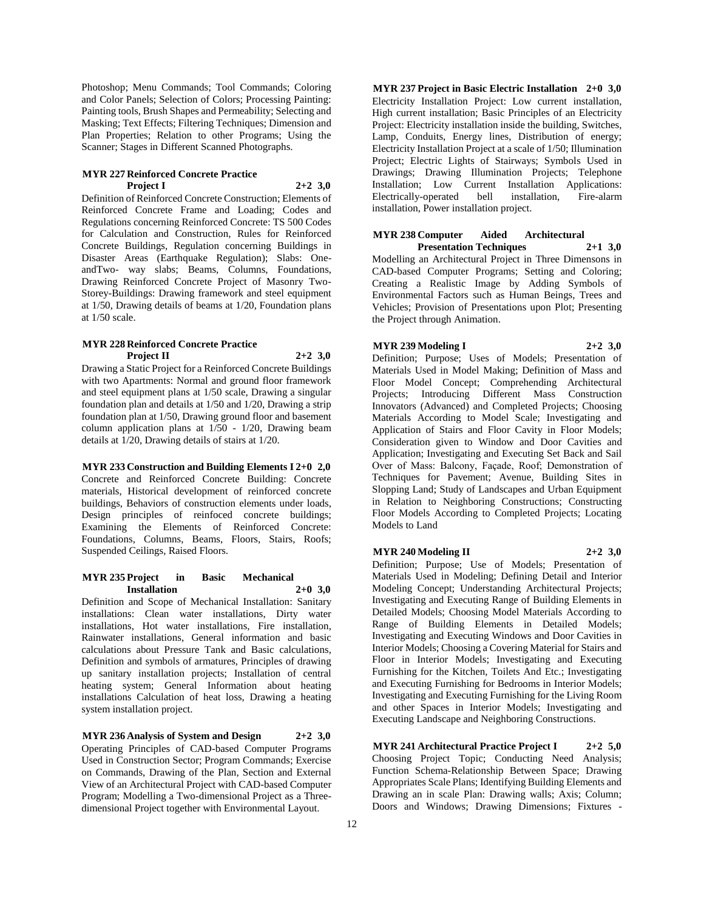Photoshop; Menu Commands; Tool Commands; Coloring and Color Panels; Selection of Colors; Processing Painting: Painting tools, Brush Shapes and Permeability; Selecting and Masking; Text Effects; Filtering Techniques; Dimension and Plan Properties; Relation to other Programs; Using the Scanner; Stages in Different Scanned Photographs.

#### **MYR 227 Reinforced Concrete Practice Project I 2+2 3,0**

Definition of Reinforced Concrete Construction; Elements of Reinforced Concrete Frame and Loading; Codes and Regulations concerning Reinforced Concrete: TS 500 Codes for Calculation and Construction, Rules for Reinforced Concrete Buildings, Regulation concerning Buildings in Disaster Areas (Earthquake Regulation); Slabs: OneandTwo- way slabs; Beams, Columns, Foundations, Drawing Reinforced Concrete Project of Masonry Two-Storey-Buildings: Drawing framework and steel equipment at 1/50, Drawing details of beams at 1/20, Foundation plans at 1/50 scale.

### **MYR 228 Reinforced Concrete Practice Project II 2+2 3,0**

Drawing a Static Project for a Reinforced Concrete Buildings with two Apartments: Normal and ground floor framework and steel equipment plans at 1/50 scale, Drawing a singular foundation plan and details at 1/50 and 1/20, Drawing a strip foundation plan at 1/50, Drawing ground floor and basement column application plans at 1/50 - 1/20, Drawing beam details at 1/20, Drawing details of stairs at 1/20.

#### **MYR 233 Construction and Building Elements I 2+0 2,0**

Concrete and Reinforced Concrete Building: Concrete materials, Historical development of reinforced concrete buildings, Behaviors of construction elements under loads, Design principles of reinfoced concrete buildings; Examining the Elements of Reinforced Concrete: Foundations, Columns, Beams, Floors, Stairs, Roofs; Suspended Ceilings, Raised Floors.

#### **MYR 235 Project in Basic Mechanical Installation 2+0 3,0**

Definition and Scope of Mechanical Installation: Sanitary installations: Clean water installations, Dirty water installations, Hot water installations, Fire installation, Rainwater installations, General information and basic calculations about Pressure Tank and Basic calculations, Definition and symbols of armatures, Principles of drawing up sanitary installation projects; Installation of central heating system; General Information about heating installations Calculation of heat loss, Drawing a heating system installation project.

**MYR 236 Analysis of System and Design 2+2 3,0** Operating Principles of CAD-based Computer Programs Used in Construction Sector; Program Commands; Exercise on Commands, Drawing of the Plan, Section and External View of an Architectural Project with CAD-based Computer Program; Modelling a Two-dimensional Project as a Threedimensional Project together with Environmental Layout.

**MYR 237 Project in Basic Electric Installation 2+0 3,0** Electricity Installation Project: Low current installation, High current installation; Basic Principles of an Electricity Project: Electricity installation inside the building, Switches, Lamp, Conduits, Energy lines, Distribution of energy; Electricity Installation Project at a scale of 1/50; Illumination Project; Electric Lights of Stairways; Symbols Used in Drawings; Drawing Illumination Projects; Telephone Installation; Low Current Installation Applications: Electrically-operated bell installation, Fire-alarm installation, Power installation project.

#### **MYR 238 Computer Aided Architectural Presentation Techniques 2+1 3,0**

Modelling an Architectural Project in Three Dimensons in CAD-based Computer Programs; Setting and Coloring; Creating a Realistic Image by Adding Symbols of Environmental Factors such as Human Beings, Trees and Vehicles; Provision of Presentations upon Plot; Presenting the Project through Animation.

## **MYR 239 Modeling I 2+2 3,0**

Definition; Purpose; Uses of Models; Presentation of Materials Used in Model Making; Definition of Mass and Floor Model Concept; Comprehending Architectural Projects; Introducing Different Mass Construction Innovators (Advanced) and Completed Projects; Choosing Materials According to Model Scale; Investigating and Application of Stairs and Floor Cavity in Floor Models; Consideration given to Window and Door Cavities and Application; Investigating and Executing Set Back and Sail Over of Mass: Balcony, Façade, Roof; Demonstration of Techniques for Pavement; Avenue, Building Sites in Slopping Land; Study of Landscapes and Urban Equipment in Relation to Neighboring Constructions; Constructing Floor Models According to Completed Projects; Locating Models to Land

## **MYR 240 Modeling II 2+2 3,0**

Definition; Purpose; Use of Models; Presentation of Materials Used in Modeling; Defining Detail and Interior Modeling Concept; Understanding Architectural Projects; Investigating and Executing Range of Building Elements in Detailed Models; Choosing Model Materials According to Range of Building Elements in Detailed Models; Investigating and Executing Windows and Door Cavities in Interior Models; Choosing a Covering Material for Stairs and Floor in Interior Models; Investigating and Executing Furnishing for the Kitchen, Toilets And Etc.; Investigating and Executing Furnishing for Bedrooms in Interior Models; Investigating and Executing Furnishing for the Living Room and other Spaces in Interior Models; Investigating and Executing Landscape and Neighboring Constructions.

**MYR 241 Architectural Practice Project I 2+2 5,0** Choosing Project Topic; Conducting Need Analysis; Function Schema-Relationship Between Space; Drawing Appropriates Scale Plans; Identifying Building Elements and Drawing an in scale Plan: Drawing walls; Axis; Column; Doors and Windows; Drawing Dimensions; Fixtures -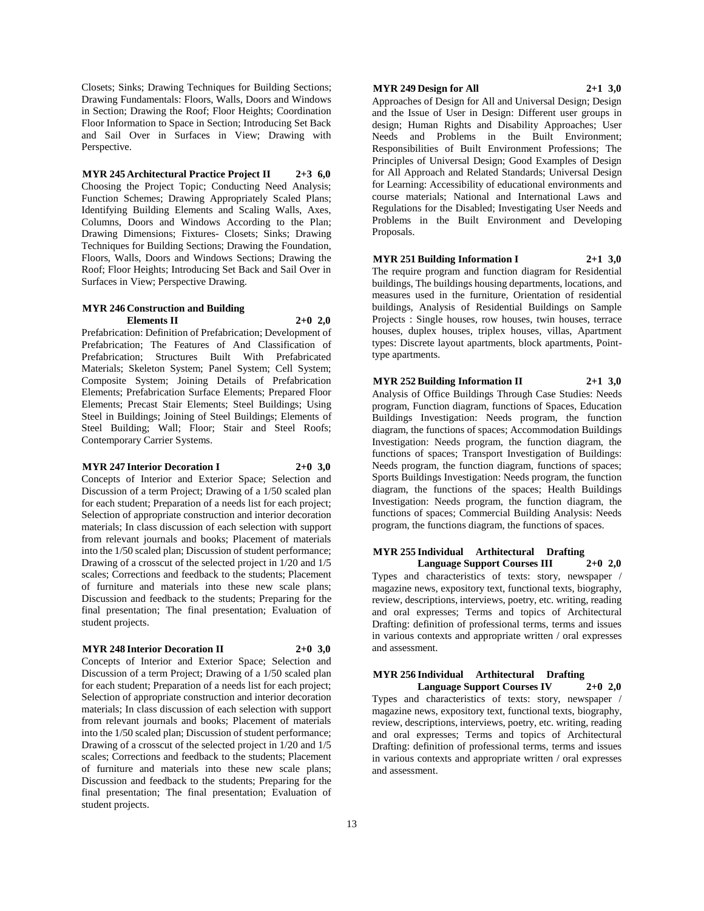Closets; Sinks; Drawing Techniques for Building Sections; Drawing Fundamentals: Floors, Walls, Doors and Windows in Section; Drawing the Roof; Floor Heights; Coordination Floor Information to Space in Section; Introducing Set Back and Sail Over in Surfaces in View; Drawing with Perspective.

**MYR 245 Architectural Practice Project II 2+3 6,0** Choosing the Project Topic; Conducting Need Analysis; Function Schemes; Drawing Appropriately Scaled Plans; Identifying Building Elements and Scaling Walls, Axes, Columns, Doors and Windows According to the Plan; Drawing Dimensions; Fixtures- Closets; Sinks; Drawing Techniques for Building Sections; Drawing the Foundation, Floors, Walls, Doors and Windows Sections; Drawing the Roof; Floor Heights; Introducing Set Back and Sail Over in Surfaces in View; Perspective Drawing.

## **MYR 246 Construction and Building Elements II 2+0 2,0**

Prefabrication: Definition of Prefabrication; Development of Prefabrication; The Features of And Classification of Prefabrication; Structures Built With Prefabricated Materials; Skeleton System; Panel System; Cell System; Composite System; Joining Details of Prefabrication Elements; Prefabrication Surface Elements; Prepared Floor Elements; Precast Stair Elements; Steel Buildings; Using Steel in Buildings; Joining of Steel Buildings; Elements of Steel Building; Wall; Floor; Stair and Steel Roofs; Contemporary Carrier Systems.

## **MYR 247 Interior Decoration I 2+0 3,0**

Concepts of Interior and Exterior Space; Selection and Discussion of a term Project; Drawing of a 1/50 scaled plan for each student; Preparation of a needs list for each project; Selection of appropriate construction and interior decoration materials; In class discussion of each selection with support from relevant journals and books; Placement of materials into the 1/50 scaled plan; Discussion of student performance; Drawing of a crosscut of the selected project in 1/20 and 1/5 scales; Corrections and feedback to the students; Placement of furniture and materials into these new scale plans; Discussion and feedback to the students; Preparing for the final presentation; The final presentation; Evaluation of student projects.

#### **MYR 248 Interior Decoration II 2+0 3,0**

Concepts of Interior and Exterior Space; Selection and Discussion of a term Project; Drawing of a 1/50 scaled plan for each student; Preparation of a needs list for each project; Selection of appropriate construction and interior decoration materials; In class discussion of each selection with support from relevant journals and books; Placement of materials into the 1/50 scaled plan; Discussion of student performance; Drawing of a crosscut of the selected project in 1/20 and 1/5 scales; Corrections and feedback to the students; Placement of furniture and materials into these new scale plans; Discussion and feedback to the students; Preparing for the final presentation; The final presentation; Evaluation of student projects.

#### **MYR 249 Design for All 2+1 3,0**

Approaches of Design for All and Universal Design; Design and the Issue of User in Design: Different user groups in design; Human Rights and Disability Approaches; User Needs and Problems in the Built Environment; Responsibilities of Built Environment Professions; The Principles of Universal Design; Good Examples of Design for All Approach and Related Standards; Universal Design for Learning: Accessibility of educational environments and course materials; National and International Laws and Regulations for the Disabled; Investigating User Needs and Problems in the Built Environment and Developing Proposals.

## **MYR 251 Building Information I 2+1 3,0**

The require program and function diagram for Residential buildings, The buildings housing departments, locations, and measures used in the furniture, Orientation of residential buildings, Analysis of Residential Buildings on Sample Projects : Single houses, row houses, twin houses, terrace houses, duplex houses, triplex houses, villas, Apartment types: Discrete layout apartments, block apartments, Pointtype apartments.

## **MYR 252 Building Information II 2+1 3,0**

Analysis of Office Buildings Through Case Studies: Needs program, Function diagram, functions of Spaces, Education Buildings Investigation: Needs program, the function diagram, the functions of spaces; Accommodation Buildings Investigation: Needs program, the function diagram, the functions of spaces; Transport Investigation of Buildings: Needs program, the function diagram, functions of spaces; Sports Buildings Investigation: Needs program, the function diagram, the functions of the spaces; Health Buildings Investigation: Needs program, the function diagram, the functions of spaces; Commercial Building Analysis: Needs program, the functions diagram, the functions of spaces.

#### **MYR 255 Individual Arthitectural Drafting Language Support Courses III 2+0 2,0**

Types and characteristics of texts: story, newspaper / magazine news, expository text, functional texts, biography, review, descriptions, interviews, poetry, etc. writing, reading and oral expresses; Terms and topics of Architectural Drafting: definition of professional terms, terms and issues in various contexts and appropriate written / oral expresses and assessment.

## **MYR 256 Individual Arthitectural Drafting Language Support Courses IV 2+0 2,0**

Types and characteristics of texts: story, newspaper / magazine news, expository text, functional texts, biography, review, descriptions, interviews, poetry, etc. writing, reading and oral expresses; Terms and topics of Architectural Drafting: definition of professional terms, terms and issues in various contexts and appropriate written / oral expresses and assessment.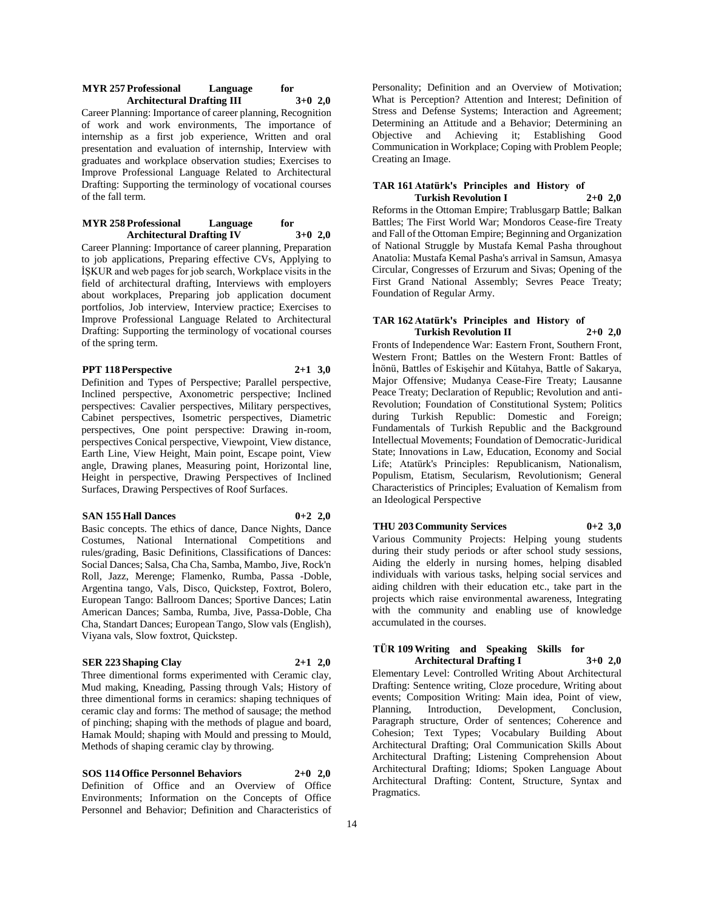#### **MYR 257 Professional Language for Architectural Drafting III 3+0 2,0**

Career Planning: Importance of career planning, Recognition of work and work environments, The importance of internship as a first job experience, Written and oral presentation and evaluation of internship, Interview with graduates and workplace observation studies; Exercises to Improve Professional Language Related to Architectural Drafting: Supporting the terminology of vocational courses of the fall term.

#### **MYR 258 Professional Language for Architectural Drafting IV 3+0 2,0**

Career Planning: Importance of career planning, Preparation to job applications, Preparing effective CVs, Applying to İŞKUR and web pages for job search, Workplace visits in the field of architectural drafting, Interviews with employers about workplaces, Preparing job application document portfolios, Job interview, Interview practice; Exercises to Improve Professional Language Related to Architectural Drafting: Supporting the terminology of vocational courses of the spring term.

# **PPT 118 Perspective 2+1 3,0**

Definition and Types of Perspective; Parallel perspective, Inclined perspective, Axonometric perspective; Inclined perspectives: Cavalier perspectives, Military perspectives, Cabinet perspectives, Isometric perspectives, Diametric perspectives, One point perspective: Drawing in-room, perspectives Conical perspective, Viewpoint, View distance, Earth Line, View Height, Main point, Escape point, View angle, Drawing planes, Measuring point, Horizontal line, Height in perspective, Drawing Perspectives of Inclined Surfaces, Drawing Perspectives of Roof Surfaces.

#### **SAN 155 Hall Dances 0+2 2,0**

Basic concepts. The ethics of dance, Dance Nights, Dance Costumes, National International Competitions and rules/grading, Basic Definitions, Classifications of Dances: Social Dances; Salsa, Cha Cha, Samba, Mambo, Jive, Rock'n Roll, Jazz, Merenge; Flamenko, Rumba, Passa -Doble, Argentina tango, Vals, Disco, Quickstep, Foxtrot, Bolero, European Tango: Ballroom Dances; Sportive Dances; Latin American Dances; Samba, Rumba, Jive, Passa-Doble, Cha Cha, Standart Dances; European Tango, Slow vals (English), Viyana vals, Slow foxtrot, Quickstep.

# **SER 223 Shaping Clay 2+1 2,0**

Three dimentional forms experimented with Ceramic clay, Mud making, Kneading, Passing through Vals; History of three dimentional forms in ceramics: shaping techniques of ceramic clay and forms: The method of sausage; the method of pinching; shaping with the methods of plague and board, Hamak Mould; shaping with Mould and pressing to Mould, Methods of shaping ceramic clay by throwing.

**SOS 114 Office Personnel Behaviors 2+0 2,0** Definition of Office and an Overview of Office Environments; Information on the Concepts of Office Personnel and Behavior; Definition and Characteristics of Personality; Definition and an Overview of Motivation; What is Perception? Attention and Interest; Definition of Stress and Defense Systems; Interaction and Agreement; Determining an Attitude and a Behavior; Determining an Objective and Achieving it; Establishing Good Communication in Workplace; Coping with Problem People; Creating an Image.

## **TAR 161 Atatürk's Principles and History of Turkish Revolution I 2+0 2,0**

Reforms in the Ottoman Empire; Trablusgarp Battle; Balkan Battles; The First World War; Mondoros Cease-fire Treaty and Fall of the Ottoman Empire; Beginning and Organization of National Struggle by Mustafa Kemal Pasha throughout Anatolia: Mustafa Kemal Pasha's arrival in Samsun, Amasya Circular, Congresses of Erzurum and Sivas; Opening of the First Grand National Assembly; Sevres Peace Treaty; Foundation of Regular Army.

## **TAR 162 Atatürk's Principles and History of Turkish Revolution II 2+0 2,0**

Fronts of Independence War: Eastern Front, Southern Front, Western Front; Battles on the Western Front: Battles of İnönü, Battles of Eskişehir and Kütahya, Battle of Sakarya, Major Offensive; Mudanya Cease-Fire Treaty; Lausanne Peace Treaty; Declaration of Republic; Revolution and anti-Revolution; Foundation of Constitutional System; Politics during Turkish Republic: Domestic and Foreign; Fundamentals of Turkish Republic and the Background Intellectual Movements; Foundation of Democratic-Juridical State; Innovations in Law, Education, Economy and Social Life; Atatürk's Principles: Republicanism, Nationalism, Populism, Etatism, Secularism, Revolutionism; General Characteristics of Principles; Evaluation of Kemalism from an Ideological Perspective

# **THU 203 Community Services 0+2 3,0**

Various Community Projects: Helping young students during their study periods or after school study sessions, Aiding the elderly in nursing homes, helping disabled individuals with various tasks, helping social services and aiding children with their education etc., take part in the projects which raise environmental awareness, Integrating with the community and enabling use of knowledge accumulated in the courses.

## **TÜR 109 Writing and Speaking Skills for Architectural Drafting I 3+0 2,0**

Elementary Level: Controlled Writing About Architectural Drafting: Sentence writing, Cloze procedure, Writing about events; Composition Writing: Main idea, Point of view,<br>Planning, Introduction, Development, Conclusion, Planning, Introduction, Development, Paragraph structure, Order of sentences; Coherence and Cohesion; Text Types; Vocabulary Building About Architectural Drafting; Oral Communication Skills About Architectural Drafting; Listening Comprehension About Architectural Drafting; Idioms; Spoken Language About Architectural Drafting: Content, Structure, Syntax and Pragmatics.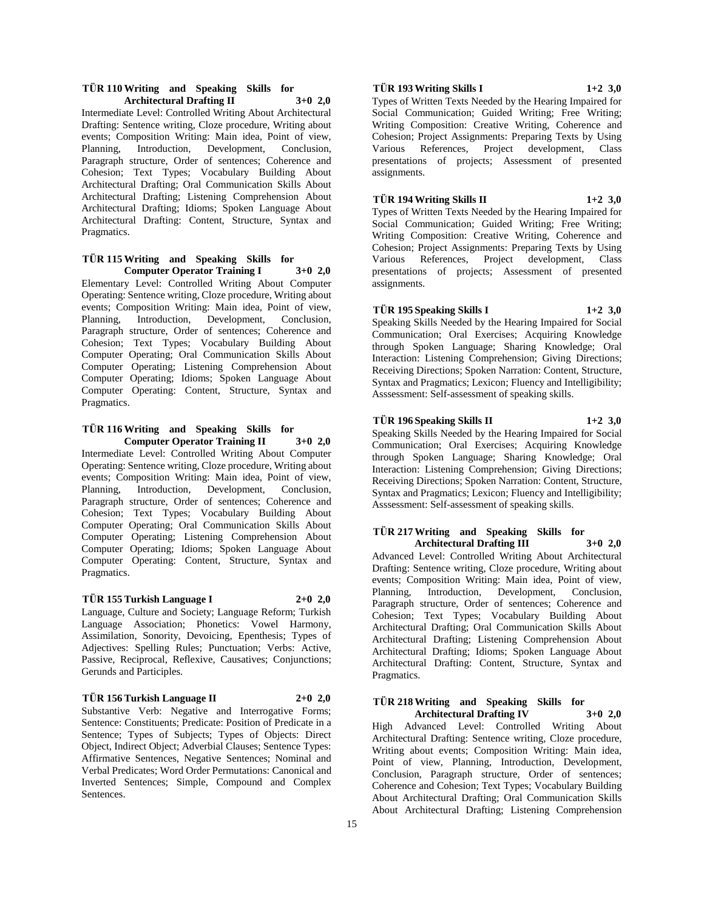## **TÜR 110 Writing and Speaking Skills for Architectural Drafting II 3+0 2,0**

Intermediate Level: Controlled Writing About Architectural Drafting: Sentence writing, Cloze procedure, Writing about events; Composition Writing: Main idea, Point of view, Planning, Introduction, Development, Conclusion, Paragraph structure, Order of sentences; Coherence and Cohesion; Text Types; Vocabulary Building About Architectural Drafting; Oral Communication Skills About Architectural Drafting; Listening Comprehension About Architectural Drafting; Idioms; Spoken Language About Architectural Drafting: Content, Structure, Syntax and Pragmatics.

## **TÜR 115 Writing and Speaking Skills for Computer Operator Training I 3+0 2,0**

Elementary Level: Controlled Writing About Computer Operating: Sentence writing, Cloze procedure, Writing about events; Composition Writing: Main idea, Point of view, Planning, Introduction, Development, Conclusion, Paragraph structure, Order of sentences; Coherence and Cohesion; Text Types; Vocabulary Building About Computer Operating; Oral Communication Skills About Computer Operating; Listening Comprehension About Computer Operating; Idioms; Spoken Language About Computer Operating: Content, Structure, Syntax and Pragmatics.

#### **TÜR 116 Writing and Speaking Skills for Computer Operator Training II 3+0 2,0**

Intermediate Level: Controlled Writing About Computer Operating: Sentence writing, Cloze procedure, Writing about events; Composition Writing: Main idea, Point of view, Planning, Introduction, Development, Conclusion, Paragraph structure, Order of sentences; Coherence and Cohesion; Text Types; Vocabulary Building About Computer Operating; Oral Communication Skills About Computer Operating; Listening Comprehension About Computer Operating; Idioms; Spoken Language About Computer Operating: Content, Structure, Syntax and Pragmatics.

## **TÜR 155 Turkish Language I 2+0 2,0**

Language, Culture and Society; Language Reform; Turkish Language Association; Phonetics: Vowel Harmony, Assimilation, Sonority, Devoicing, Epenthesis; Types of Adjectives: Spelling Rules; Punctuation; Verbs: Active, Passive, Reciprocal, Reflexive, Causatives; Conjunctions; Gerunds and Participles.

**TÜR 156 Turkish Language II 2+0 2,0**

Substantive Verb: Negative and Interrogative Forms; Sentence: Constituents; Predicate: Position of Predicate in a Sentence; Types of Subjects; Types of Objects: Direct Object, Indirect Object; Adverbial Clauses; Sentence Types: Affirmative Sentences, Negative Sentences; Nominal and Verbal Predicates; Word Order Permutations: Canonical and Inverted Sentences; Simple, Compound and Complex Sentences.

# **TÜR 193 Writing Skills I 1+2 3,0**

Types of Written Texts Needed by the Hearing Impaired for Social Communication: Guided Writing: Free Writing; Writing Composition: Creative Writing, Coherence and Cohesion; Project Assignments: Preparing Texts by Using Various References, Project development, Class presentations of projects; Assessment of presented assignments.

# **TÜR 194 Writing Skills II 1+2 3,0**

Types of Written Texts Needed by the Hearing Impaired for Social Communication; Guided Writing; Free Writing; Writing Composition: Creative Writing, Coherence and Cohesion; Project Assignments: Preparing Texts by Using Various References, Project development, Class presentations of projects; Assessment of presented assignments.

# **TÜR 195 Speaking Skills I 1+2 3,0**

Speaking Skills Needed by the Hearing Impaired for Social Communication; Oral Exercises; Acquiring Knowledge through Spoken Language; Sharing Knowledge; Oral Interaction: Listening Comprehension; Giving Directions; Receiving Directions; Spoken Narration: Content, Structure, Syntax and Pragmatics; Lexicon; Fluency and Intelligibility; Asssessment: Self-assessment of speaking skills.

## **TÜR 196 Speaking Skills II 1+2 3,0**

Speaking Skills Needed by the Hearing Impaired for Social Communication; Oral Exercises; Acquiring Knowledge through Spoken Language; Sharing Knowledge; Oral Interaction: Listening Comprehension; Giving Directions; Receiving Directions; Spoken Narration: Content, Structure, Syntax and Pragmatics; Lexicon; Fluency and Intelligibility; Asssessment: Self-assessment of speaking skills.

#### **TÜR 217 Writing and Speaking Skills for Architectural Drafting III 3+0 2,0**

Advanced Level: Controlled Writing About Architectural Drafting: Sentence writing, Cloze procedure, Writing about events; Composition Writing: Main idea, Point of view, Planning, Introduction, Development, Conclusion, Paragraph structure, Order of sentences; Coherence and Cohesion; Text Types; Vocabulary Building About Architectural Drafting; Oral Communication Skills About Architectural Drafting; Listening Comprehension About Architectural Drafting; Idioms; Spoken Language About Architectural Drafting: Content, Structure, Syntax and Pragmatics.

# **TÜR 218 Writing and Speaking Skills for**

**Architectural Drafting IV 3+0 2,0** High Advanced Level: Controlled Writing About Architectural Drafting: Sentence writing, Cloze procedure, Writing about events; Composition Writing: Main idea, Point of view, Planning, Introduction, Development, Conclusion, Paragraph structure, Order of sentences; Coherence and Cohesion; Text Types; Vocabulary Building About Architectural Drafting; Oral Communication Skills About Architectural Drafting; Listening Comprehension